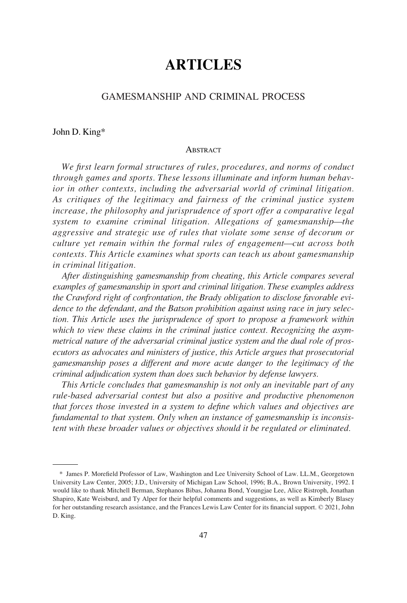# **ARTICLES**

## GAMESMANSHIP AND CRIMINAL PROCESS

#### John D. King\*

#### **ABSTRACT**

*We first learn formal structures of rules, procedures, and norms of conduct through games and sports. These lessons illuminate and inform human behavior in other contexts, including the adversarial world of criminal litigation. As critiques of the legitimacy and fairness of the criminal justice system increase, the philosophy and jurisprudence of sport offer a comparative legal system to examine criminal litigation. Allegations of gamesmanship—the aggressive and strategic use of rules that violate some sense of decorum or culture yet remain within the formal rules of engagement—cut across both contexts. This Article examines what sports can teach us about gamesmanship in criminal litigation.* 

*After distinguishing gamesmanship from cheating, this Article compares several examples of gamesmanship in sport and criminal litigation. These examples address the Crawford right of confrontation, the Brady obligation to disclose favorable evidence to the defendant, and the Batson prohibition against using race in jury selection. This Article uses the jurisprudence of sport to propose a framework within which to view these claims in the criminal justice context. Recognizing the asymmetrical nature of the adversarial criminal justice system and the dual role of prosecutors as advocates and ministers of justice, this Article argues that prosecutorial gamesmanship poses a different and more acute danger to the legitimacy of the criminal adjudication system than does such behavior by defense lawyers.* 

*This Article concludes that gamesmanship is not only an inevitable part of any rule-based adversarial contest but also a positive and productive phenomenon that forces those invested in a system to define which values and objectives are fundamental to that system. Only when an instance of gamesmanship is inconsistent with these broader values or objectives should it be regulated or eliminated.* 

<sup>\*</sup> James P. Morefield Professor of Law, Washington and Lee University School of Law. LL.M., Georgetown University Law Center, 2005; J.D., University of Michigan Law School, 1996; B.A., Brown University, 1992. I would like to thank Mitchell Berman, Stephanos Bibas, Johanna Bond, Youngjae Lee, Alice Ristroph, Jonathan Shapiro, Kate Weisburd, and Ty Alper for their helpful comments and suggestions, as well as Kimberly Blasey for her outstanding research assistance, and the Frances Lewis Law Center for its financial support. © 2021, John D. King.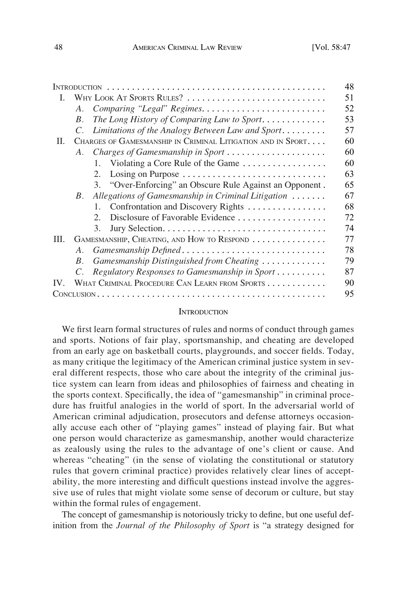| <b>INTRODUCTION</b> |                                                              |                                                          | 48 |
|---------------------|--------------------------------------------------------------|----------------------------------------------------------|----|
| L                   | WHY LOOK AT SPORTS RULES?                                    |                                                          | 51 |
|                     | A.                                                           |                                                          | 52 |
|                     | $B_{\cdot}$                                                  | The Long History of Comparing Law to Sport               | 53 |
|                     |                                                              | Limitations of the Analogy Between Law and Sport         | 57 |
| П.                  | CHARGES OF GAMESMANSHIP IN CRIMINAL LITIGATION AND IN SPORT. |                                                          | 60 |
|                     | A.                                                           | Charges of Gamesmanship in Sport                         | 60 |
|                     |                                                              | 1. Violating a Core Rule of the Game                     | 60 |
|                     |                                                              | Losing on Purpose<br>2.                                  | 63 |
|                     |                                                              | 3. "Over-Enforcing" an Obscure Rule Against an Opponent. | 65 |
|                     | $B_{\cdot}$                                                  | Allegations of Gamesmanship in Criminal Litigation       | 67 |
|                     |                                                              | Confrontation and Discovery Rights<br>$1_{-}$            | 68 |
|                     |                                                              | Disclosure of Favorable Evidence<br>$2^{\circ}$          | 72 |
|                     |                                                              | 3.                                                       | 74 |
| III.                | GAMESMANSHIP, CHEATING, AND HOW TO RESPOND                   |                                                          | 77 |
|                     | A.                                                           | Gamesmanship Defined                                     | 78 |
|                     | $B_{\cdot}$                                                  | Gamesmanship Distinguished from Cheating                 | 79 |
|                     | $C_{\cdot}$                                                  | Regulatory Responses to Gamesmanship in Sport            | 87 |
| IV                  |                                                              | WHAT CRIMINAL PROCEDURE CAN LEARN FROM SPORTS            | 90 |
|                     |                                                              |                                                          | 95 |

#### **INTRODUCTION**

We first learn formal structures of rules and norms of conduct through games and sports. Notions of fair play, sportsmanship, and cheating are developed from an early age on basketball courts, playgrounds, and soccer fields. Today, as many critique the legitimacy of the American criminal justice system in several different respects, those who care about the integrity of the criminal justice system can learn from ideas and philosophies of fairness and cheating in the sports context. Specifically, the idea of "gamesmanship" in criminal procedure has fruitful analogies in the world of sport. In the adversarial world of American criminal adjudication, prosecutors and defense attorneys occasionally accuse each other of "playing games" instead of playing fair. But what one person would characterize as gamesmanship, another would characterize as zealously using the rules to the advantage of one's client or cause. And whereas "cheating" (in the sense of violating the constitutional or statutory rules that govern criminal practice) provides relatively clear lines of acceptability, the more interesting and difficult questions instead involve the aggressive use of rules that might violate some sense of decorum or culture, but stay within the formal rules of engagement.

The concept of gamesmanship is notoriously tricky to define, but one useful definition from the *Journal of the Philosophy of Sport* is "a strategy designed for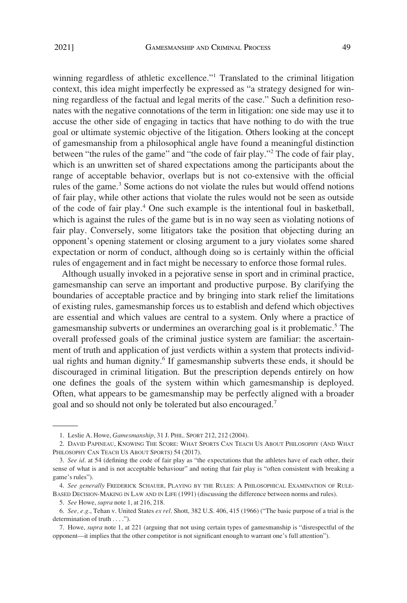winning regardless of athletic excellence."<sup>1</sup> Translated to the criminal litigation context, this idea might imperfectly be expressed as "a strategy designed for winning regardless of the factual and legal merits of the case." Such a definition resonates with the negative connotations of the term in litigation: one side may use it to accuse the other side of engaging in tactics that have nothing to do with the true goal or ultimate systemic objective of the litigation. Others looking at the concept of gamesmanship from a philosophical angle have found a meaningful distinction between "the rules of the game" and "the code of fair play."2 The code of fair play, which is an unwritten set of shared expectations among the participants about the range of acceptable behavior, overlaps but is not co-extensive with the official rules of the game.<sup>3</sup> Some actions do not violate the rules but would offend notions of fair play, while other actions that violate the rules would not be seen as outside of the code of fair play.<sup>4</sup> One such example is the intentional foul in basketball, which is against the rules of the game but is in no way seen as violating notions of fair play. Conversely, some litigators take the position that objecting during an opponent's opening statement or closing argument to a jury violates some shared expectation or norm of conduct, although doing so is certainly within the official rules of engagement and in fact might be necessary to enforce those formal rules.

Although usually invoked in a pejorative sense in sport and in criminal practice, gamesmanship can serve an important and productive purpose. By clarifying the boundaries of acceptable practice and by bringing into stark relief the limitations of existing rules, gamesmanship forces us to establish and defend which objectives are essential and which values are central to a system. Only where a practice of gamesmanship subverts or undermines an overarching goal is it problematic.<sup>5</sup> The overall professed goals of the criminal justice system are familiar: the ascertainment of truth and application of just verdicts within a system that protects individual rights and human dignity.<sup>6</sup> If gamesmanship subverts these ends, it should be discouraged in criminal litigation. But the prescription depends entirely on how one defines the goals of the system within which gamesmanship is deployed. Often, what appears to be gamesmanship may be perfectly aligned with a broader goal and so should not only be tolerated but also encouraged.7

<sup>1.</sup> Leslie A. Howe, *Gamesmanship*, 31 J. PHIL. SPORT 212, 212 (2004).

<sup>2.</sup> DAVID PAPINEAU, KNOWING THE SCORE: WHAT SPORTS CAN TEACH US ABOUT PHILOSOPHY (AND WHAT PHILOSOPHY CAN TEACH US ABOUT SPORTS) 54 (2017).

<sup>3.</sup> *See id*. at 54 (defining the code of fair play as "the expectations that the athletes have of each other, their sense of what is and is not acceptable behaviour" and noting that fair play is "often consistent with breaking a game's rules").

<sup>4.</sup> *See generally* FREDERICK SCHAUER, PLAYING BY THE RULES: A PHILOSOPHICAL EXAMINATION OF RULE-BASED DECISION-MAKING IN LAW AND IN LIFE (1991) (discussing the difference between norms and rules).

<sup>5.</sup> *See* Howe, *supra* note 1, at 216, 218.

<sup>6.</sup> *See, e.g*., Tehan v. United States *ex rel*. Shott, 382 U.S. 406, 415 (1966) ("The basic purpose of a trial is the determination of truth . . . .").

<sup>7.</sup> Howe, *supra* note 1, at 221 (arguing that not using certain types of gamesmanship is "disrespectful of the opponent—it implies that the other competitor is not significant enough to warrant one's full attention").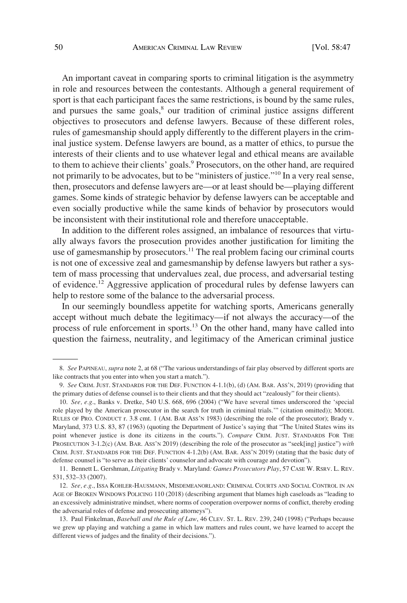An important caveat in comparing sports to criminal litigation is the asymmetry in role and resources between the contestants. Although a general requirement of sport is that each participant faces the same restrictions, is bound by the same rules, and pursues the same goals, $<sup>8</sup>$  our tradition of criminal justice assigns different</sup> objectives to prosecutors and defense lawyers. Because of these different roles, rules of gamesmanship should apply differently to the different players in the criminal justice system. Defense lawyers are bound, as a matter of ethics, to pursue the interests of their clients and to use whatever legal and ethical means are available to them to achieve their clients' goals.<sup>9</sup> Prosecutors, on the other hand, are required not primarily to be advocates, but to be "ministers of justice."10 In a very real sense, then, prosecutors and defense lawyers are—or at least should be—playing different games. Some kinds of strategic behavior by defense lawyers can be acceptable and even socially productive while the same kinds of behavior by prosecutors would be inconsistent with their institutional role and therefore unacceptable.

In addition to the different roles assigned, an imbalance of resources that virtually always favors the prosecution provides another justification for limiting the use of gamesmanship by prosecutors.<sup>11</sup> The real problem facing our criminal courts is not one of excessive zeal and gamesmanship by defense lawyers but rather a system of mass processing that undervalues zeal, due process, and adversarial testing of evidence.12 Aggressive application of procedural rules by defense lawyers can help to restore some of the balance to the adversarial process.

In our seemingly boundless appetite for watching sports, Americans generally accept without much debate the legitimacy—if not always the accuracy—of the process of rule enforcement in sports.<sup>13</sup> On the other hand, many have called into question the fairness, neutrality, and legitimacy of the American criminal justice

<sup>8.</sup> *See* PAPINEAU, *supra* note 2, at 68 ("The various understandings of fair play observed by different sports are like contracts that you enter into when you start a match.").

<sup>9.</sup> *See* CRIM. JUST. STANDARDS FOR THE DEF. FUNCTION 4-1.1(b), (d) (AM. BAR. ASS'N, 2019) (providing that the primary duties of defense counsel is to their clients and that they should act "zealously" for their clients).

<sup>10.</sup> *See, e.g*., Banks v. Dretke, 540 U.S. 668, 696 (2004) ("We have several times underscored the 'special role played by the American prosecutor in the search for truth in criminal trials.'" (citation omitted)); MODEL RULES OF PRO. CONDUCT r. 3.8 cmt. 1 (AM. BAR ASS'N 1983) (describing the role of the prosecutor); Brady v. Maryland, 373 U.S. 83, 87 (1963) (quoting the Department of Justice's saying that "The United States wins its point whenever justice is done its citizens in the courts."). *Compare* CRIM. JUST. STANDARDS FOR THE PROSECUTION 3-1.2(c) (AM. BAR. ASS'N 2019) (describing the role of the prosecutor as "seek[ing] justice") *with*  CRIM. JUST. STANDARDS FOR THE DEF. FUNCTION 4-1.2(b) (AM. BAR. ASS'N 2019) (stating that the basic duty of defense counsel is "to serve as their clients' counselor and advocate with courage and devotion").

<sup>11.</sup> Bennett L. Gershman, *Litigating* Brady v. Maryland*: Games Prosecutors Play*, 57 CASE W. RSRV. L. REV. 531, 532–33 (2007).

<sup>12.</sup> *See, e.g*., ISSA KOHLER-HAUSMANN, MISDEMEANORLAND: CRIMINAL COURTS AND SOCIAL CONTROL IN AN AGE OF BROKEN WINDOWS POLICING 110 (2018) (describing argument that blames high caseloads as "leading to an excessively administrative mindset, where norms of cooperation overpower norms of conflict, thereby eroding the adversarial roles of defense and prosecuting attorneys").

<sup>13.</sup> Paul Finkelman, *Baseball and the Rule of Law*, 46 CLEV. ST. L. REV. 239, 240 (1998) ("Perhaps because we grew up playing and watching a game in which law matters and rules count, we have learned to accept the different views of judges and the finality of their decisions.").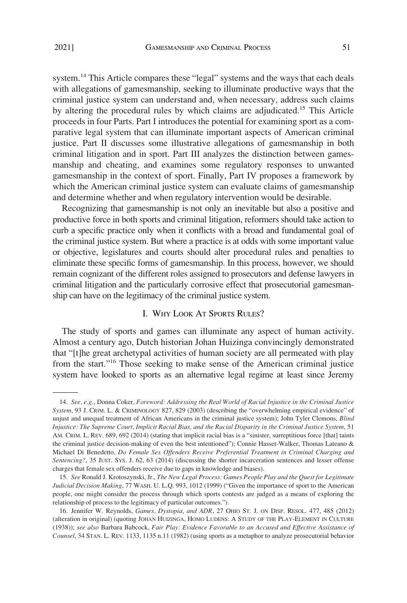<span id="page-4-0"></span>system.14 This Article compares these "legal" systems and the ways that each deals with allegations of gamesmanship, seeking to illuminate productive ways that the criminal justice system can understand and, when necessary, address such claims by altering the procedural rules by which claims are adjudicated.<sup>15</sup> This Article proceeds in four Parts. Part I introduces the potential for examining sport as a comparative legal system that can illuminate important aspects of American criminal justice. Part II discusses some illustrative allegations of gamesmanship in both criminal litigation and in sport. Part III analyzes the distinction between gamesmanship and cheating, and examines some regulatory responses to unwanted gamesmanship in the context of sport. Finally, Part IV proposes a framework by which the American criminal justice system can evaluate claims of gamesmanship and determine whether and when regulatory intervention would be desirable.

Recognizing that gamesmanship is not only an inevitable but also a positive and productive force in both sports and criminal litigation, reformers should take action to curb a specific practice only when it conflicts with a broad and fundamental goal of the criminal justice system. But where a practice is at odds with some important value or objective, legislatures and courts should alter procedural rules and penalties to eliminate these specific forms of gamesmanship. In this process, however, we should remain cognizant of the different roles assigned to prosecutors and defense lawyers in criminal litigation and the particularly corrosive effect that prosecutorial gamesmanship can have on the legitimacy of the criminal justice system.

# I. WHY LOOK AT SPORTS RULES?

The study of sports and games can illuminate any aspect of human activity. Almost a century ago, Dutch historian Johan Huizinga convincingly demonstrated that "[t]he great archetypal activities of human society are all permeated with play from the start."16 Those seeking to make sense of the American criminal justice system have looked to sports as an alternative legal regime at least since Jeremy

<sup>14.</sup> *See, e.g*., Donna Coker, *Foreword: Addressing the Real World of Racial Injustice in the Criminal Justice System*, 93 J. CRIM. L. & CRIMINOLOGY 827, 829 (2003) (describing the "overwhelming empirical evidence" of unjust and unequal treatment of African Americans in the criminal justice system); John Tyler Clemons, *Blind Injustice: The Supreme Court, Implicit Racial Bias, and the Racial Disparity in the Criminal Justice System*, 51 AM. CRIM. L. REV. 689, 692 (2014) (stating that implicit racial bias is a "sinister, surreptitious force [that] taints the criminal justice decision-making of even the best intentioned"); Connie Hasset-Walker, Thomas Lateano & Michael Di Benedetto, *Do Female Sex Offenders Receive Preferential Treatment in Criminal Charging and Sentencing?*, 35 JUST. SYS. J. 62, 63 (2014) (discussing the shorter incarceration sentences and lesser offense charges that female sex offenders receive due to gaps in knowledge and biases).

<sup>15.</sup> *See* Ronald J. Krotoszynski, Jr., *The New Legal Process: Games People Play and the Quest for Legitimate Judicial Decision Making*, 77 WASH. U. L.Q. 993, 1012 (1999) ("Given the importance of sport to the American people, one might consider the process through which sports contests are judged as a means of exploring the relationship of process to the legitimacy of particular outcomes.").

<sup>16.</sup> Jennifer W. Reynolds, *Games, Dystopia, and ADR*, 27 OHIO ST. J. ON DISP. RESOL. 477, 485 (2012) (alteration in original) (quoting JOHAN HUIZINGA, HOMO LUDENS: A STUDY OF THE PLAY-ELEMENT IN CULTURE (1938)); *see also* Barbara Babcock, *Fair Play: Evidence Favorable to an Accused and Effective Assistance of Counsel*, 34 STAN. L. REV. 1133, 1135 n.11 (1982) (using sports as a metaphor to analyze prosecutorial behavior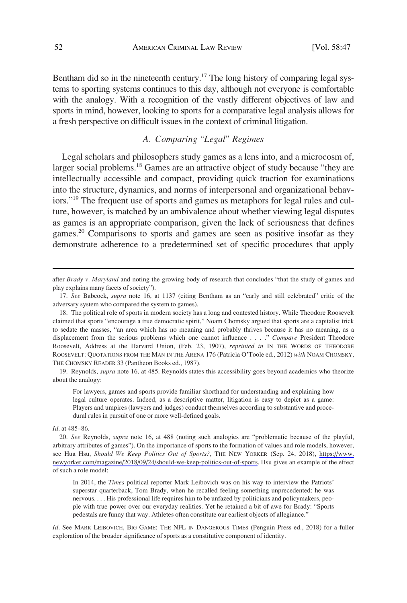<span id="page-5-0"></span>Bentham did so in the nineteenth century.<sup>17</sup> The long history of comparing legal systems to sporting systems continues to this day, although not everyone is comfortable with the analogy. With a recognition of the vastly different objectives of law and sports in mind, however, looking to sports for a comparative legal analysis allows for a fresh perspective on difficult issues in the context of criminal litigation.

# *A. Comparing "Legal" Regimes*

Legal scholars and philosophers study games as a lens into, and a microcosm of, larger social problems.<sup>18</sup> Games are an attractive object of study because "they are intellectually accessible and compact, providing quick traction for examinations into the structure, dynamics, and norms of interpersonal and organizational behaviors."<sup>19</sup> The frequent use of sports and games as metaphors for legal rules and culture, however, is matched by an ambivalence about whether viewing legal disputes as games is an appropriate comparison, given the lack of seriousness that defines games.<sup>20</sup> Comparisons to sports and games are seen as positive insofar as they demonstrate adherence to a predetermined set of specific procedures that apply

19. Reynolds, *supra* note 16, at 485. Reynolds states this accessibility goes beyond academics who theorize about the analogy:

For lawyers, games and sports provide familiar shorthand for understanding and explaining how legal culture operates. Indeed, as a descriptive matter, litigation is easy to depict as a game: Players and umpires (lawyers and judges) conduct themselves according to substantive and procedural rules in pursuit of one or more well-defined goals.

*Id*. at 485–86.

In 2014, the *Times* political reporter Mark Leibovich was on his way to interview the Patriots' superstar quarterback, Tom Brady, when he recalled feeling something unprecedented: he was nervous. . . . His professional life requires him to be unfazed by politicians and policymakers, people with true power over our everyday realities. Yet he retained a bit of awe for Brady: "Sports pedestals are funny that way. Athletes often constitute our earliest objects of allegiance."

*Id.* See MARK LEIBOVICH, BIG GAME: THE NFL IN DANGEROUS TIMES (Penguin Press ed., 2018) for a fuller exploration of the broader significance of sports as a constitutive component of identity.

after *Brady v. Maryland* and noting the growing body of research that concludes "that the study of games and play explains many facets of society").

<sup>17.</sup> *See* Babcock, *supra* note 16, at 1137 (citing Bentham as an "early and still celebrated" critic of the adversary system who compared the system to games).

<sup>18.</sup> The political role of sports in modern society has a long and contested history. While Theodore Roosevelt claimed that sports "encourage a true democratic spirit," Noam Chomsky argued that sports are a capitalist trick to sedate the masses, "an area which has no meaning and probably thrives because it has no meaning, as a displacement from the serious problems which one cannot influence . . . ." *Compare* President Theodore Roosevelt, Address at the Harvard Union, (Feb. 23, 1907), *reprinted in* IN THE WORDS OF THEODORE ROOSEVELT: QUOTATIONS FROM THE MAN IN THE ARENA 176 (Patricia O'Toole ed., 2012) *with* NOAM CHOMSKY, THE CHOMSKY READER 33 (Pantheon Books ed., 1987).

*See* Reynolds, *supra* note 16, at 488 (noting such analogies are "problematic because of the playful, 20. arbitrary attributes of games"). On the importance of sports to the formation of values and role models, however, see Hua Hsu, *Should We Keep Politics Out of Sports?*, THE NEW YORKER (Sep. 24, 2018), [https://www.](https://www.newyorker.com/magazine/2018/09/24/should-we-keep-politics-out-of-sports)  [newyorker.com/magazine/2018/09/24/should-we-keep-politics-out-of-sports.](https://www.newyorker.com/magazine/2018/09/24/should-we-keep-politics-out-of-sports) Hsu gives an example of the effect of such a role model: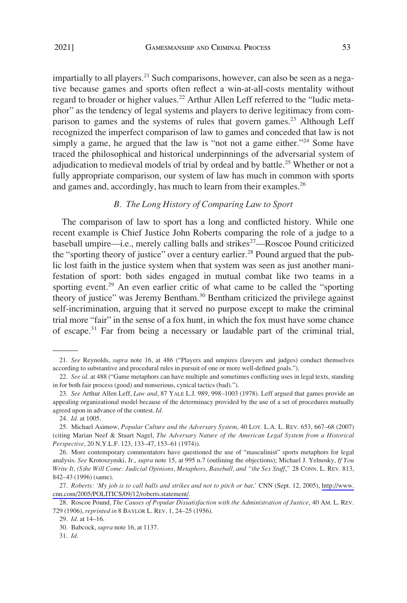<span id="page-6-0"></span>impartially to all players.<sup>21</sup> Such comparisons, however, can also be seen as a negative because games and sports often reflect a win-at-all-costs mentality without regard to broader or higher values.<sup>22</sup> Arthur Allen Leff referred to the "ludic metaphor" as the tendency of legal systems and players to derive legitimacy from comparison to games and the systems of rules that govern games.<sup>23</sup> Although Leff recognized the imperfect comparison of law to games and conceded that law is not simply a game, he argued that the law is "not not a game either."<sup>24</sup> Some have traced the philosophical and historical underpinnings of the adversarial system of adjudication to medieval models of trial by ordeal and by battle.<sup>25</sup> Whether or not a fully appropriate comparison, our system of law has much in common with sports and games and, accordingly, has much to learn from their examples.<sup>26</sup>

#### *B. The Long History of Comparing Law to Sport*

The comparison of law to sport has a long and conflicted history. While one recent example is Chief Justice John Roberts comparing the role of a judge to a baseball umpire—i.e., merely calling balls and strikes<sup>27</sup>—Roscoe Pound criticized the "sporting theory of justice" over a century earlier.<sup>28</sup> Pound argued that the public lost faith in the justice system when that system was seen as just another manifestation of sport: both sides engaged in mutual combat like two teams in a sporting event.<sup>29</sup> An even earlier critic of what came to be called the "sporting" theory of justice" was Jeremy Bentham.<sup>30</sup> Bentham criticized the privilege against self-incrimination, arguing that it served no purpose except to make the criminal trial more "fair" in the sense of a fox hunt, in which the fox must have some chance of escape.<sup>31</sup> Far from being a necessary or laudable part of the criminal trial,

<sup>21.</sup> *See* Reynolds, *supra* note 16, at 486 ("Players and umpires (lawyers and judges) conduct themselves according to substantive and procedural rules in pursuit of one or more well-defined goals.").

<sup>22.</sup> *See id*. at 488 ("Game metaphors can have multiple and sometimes conflicting uses in legal texts, standing in for both fair process (good) and nonserious, cynical tactics (bad).").

<sup>23.</sup> *See* Arthur Allen Leff, *Law and*, 87 YALE L.J. 989, 998–1003 (1978). Leff argued that games provide an appealing organizational model because of the determinacy provided by the use of a set of procedures mutually agreed upon in advance of the contest. *Id*.

<sup>24.</sup> *Id*. at 1005.

<sup>25.</sup> Michael Asimow, *Popular Culture and the Adversary System*, 40 LOY. L.A. L. REV. 653, 667–68 (2007) (citing Marian Neef & Stuart Nagel, *The Adversary Nature of the American Legal System from a Historical Perspective*, 20 N.Y.L.F. 123, 133–47, 153–61 (1974)).

<sup>26.</sup> More contemporary commentators have questioned the use of "masculinist" sports metaphors for legal analysis. *See* Krotoszynski, Jr., *supra* note 15, at 995 n.7 (outlining the objections); Michael J. Yelnosky, *If You Write It, (S)he Will Come: Judicial Opinions, Metaphors, Baseball, and "the Sex Stuff*,*"* 28 CONN. L. REV. 813, 842–43 (1996) (same).

*Roberts: 'My job is to call balls and strikes and not to pitch or bat*,*'* CNN (Sept. 12, 2005), [http://www.](http://www.cnn.com/2005/POLITICS/09/12/roberts.statement/) 27. [cnn.com/2005/POLITICS/09/12/roberts.statement/.](http://www.cnn.com/2005/POLITICS/09/12/roberts.statement/)

<sup>28.</sup> Roscoe Pound, *The Causes of Popular Dissatisfaction with the Administration of Justice*, 40 AM. L. REV. 729 (1906), *reprinted in* 8 BAYLOR L. REV. 1, 24–25 (1956).

<sup>29.</sup> *Id*. at 14–16.

<sup>30.</sup> Babcock, *supra* note 16, at 1137.

<sup>31.</sup> *Id*.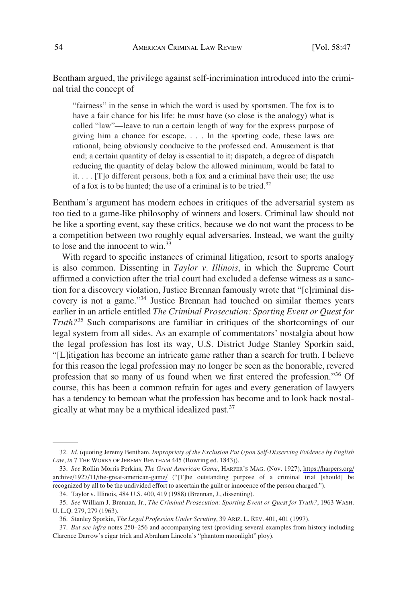Bentham argued, the privilege against self-incrimination introduced into the criminal trial the concept of

"fairness" in the sense in which the word is used by sportsmen. The fox is to have a fair chance for his life: he must have (so close is the analogy) what is called "law"—leave to run a certain length of way for the express purpose of giving him a chance for escape. . . . In the sporting code, these laws are rational, being obviously conducive to the professed end. Amusement is that end; a certain quantity of delay is essential to it; dispatch, a degree of dispatch reducing the quantity of delay below the allowed minimum, would be fatal to it. . . . [T]o different persons, both a fox and a criminal have their use; the use of a fox is to be hunted; the use of a criminal is to be tried.32

Bentham's argument has modern echoes in critiques of the adversarial system as too tied to a game-like philosophy of winners and losers. Criminal law should not be like a sporting event, say these critics, because we do not want the process to be a competition between two roughly equal adversaries. Instead, we want the guilty to lose and the innocent to win.<sup>33</sup>

With regard to specific instances of criminal litigation, resort to sports analogy is also common. Dissenting in *Taylor v. Illinois*, in which the Supreme Court affirmed a conviction after the trial court had excluded a defense witness as a sanction for a discovery violation, Justice Brennan famously wrote that "[c]riminal discovery is not a game."34 Justice Brennan had touched on similar themes years earlier in an article entitled *The Criminal Prosecution: Sporting Event or Quest for Truth?*35 Such comparisons are familiar in critiques of the shortcomings of our legal system from all sides. As an example of commentators' nostalgia about how the legal profession has lost its way, U.S. District Judge Stanley Sporkin said, "[L]itigation has become an intricate game rather than a search for truth. I believe for this reason the legal profession may no longer be seen as the honorable, revered profession that so many of us found when we first entered the profession."36 Of course, this has been a common refrain for ages and every generation of lawyers has a tendency to bemoan what the profession has become and to look back nostalgically at what may be a mythical idealized past.<sup>37</sup>

<sup>32.</sup> *Id*. (quoting Jeremy Bentham, *Impropriety of the Exclusion Put Upon Self-Disserving Evidence by English Law*, *in* 7 THE WORKS OF JEREMY BENTHAM 445 (Bowring ed. 1843)).

*See* Rollin Morris Perkins, *The Great American Game*, HARPER'S MAG. (Nov. 1927), [https://harpers.org/](https://harpers.org/archive/1927/11/the-great-american-game/) 33. [archive/1927/11/the-great-american-game/](https://harpers.org/archive/1927/11/the-great-american-game/) ("[T]he outstanding purpose of a criminal trial [should] be recognized by all to be the undivided effort to ascertain the guilt or innocence of the person charged.").

<sup>34.</sup> Taylor v. Illinois, 484 U.S. 400, 419 (1988) (Brennan, J., dissenting).

<sup>35.</sup> *See* William J. Brennan, Jr., *The Criminal Prosecution: Sporting Event or Quest for Truth?*, 1963 WASH. U. L.Q. 279, 279 (1963).

<sup>36.</sup> Stanley Sporkin, *The Legal Profession Under Scrutiny*, 39 ARIZ. L. REV. 401, 401 (1997).

<sup>37.</sup> *But see infra* notes 250–256 and accompanying text (providing several examples from history including Clarence Darrow's cigar trick and Abraham Lincoln's "phantom moonlight" ploy).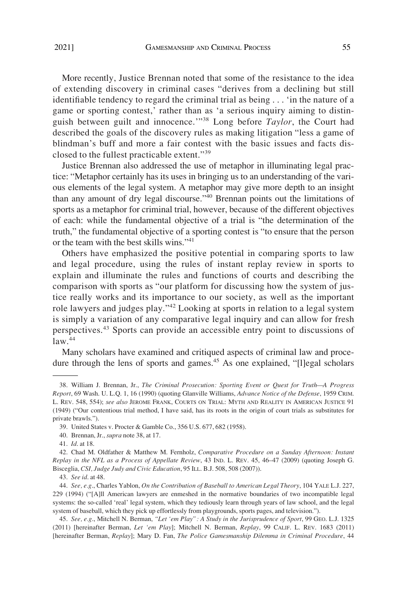More recently, Justice Brennan noted that some of the resistance to the idea of extending discovery in criminal cases "derives from a declining but still identifiable tendency to regard the criminal trial as being . . . 'in the nature of a game or sporting contest,' rather than as 'a serious inquiry aiming to distinguish between guilt and innocence.'"38 Long before *Taylor*, the Court had described the goals of the discovery rules as making litigation "less a game of blindman's buff and more a fair contest with the basic issues and facts disclosed to the fullest practicable extent."<sup>39</sup>

Justice Brennan also addressed the use of metaphor in illuminating legal practice: "Metaphor certainly has its uses in bringing us to an understanding of the various elements of the legal system. A metaphor may give more depth to an insight than any amount of dry legal discourse."40 Brennan points out the limitations of sports as a metaphor for criminal trial, however, because of the different objectives of each: while the fundamental objective of a trial is "the determination of the truth," the fundamental objective of a sporting contest is "to ensure that the person or the team with the best skills wins."<sup>41</sup>

Others have emphasized the positive potential in comparing sports to law and legal procedure, using the rules of instant replay review in sports to explain and illuminate the rules and functions of courts and describing the comparison with sports as "our platform for discussing how the system of justice really works and its importance to our society, as well as the important role lawyers and judges play."42 Looking at sports in relation to a legal system is simply a variation of any comparative legal inquiry and can allow for fresh perspectives.43 Sports can provide an accessible entry point to discussions of  $law.<sup>44</sup>$ 

Many scholars have examined and critiqued aspects of criminal law and procedure through the lens of sports and games.<sup>45</sup> As one explained, "[l]egal scholars

<sup>38.</sup> William J. Brennan, Jr., *The Criminal Prosecution: Sporting Event or Quest for Truth—A Progress Report*, 69 Wash. U. L.Q. 1, 16 (1990) (quoting Glanville Williams, *Advance Notice of the Defense*, 1959 CRIM. L. REV. 548, 554); *see also* JEROME FRANK, COURTS ON TRIAL: MYTH AND REALITY IN AMERICAN JUSTICE 91 (1949) ("Our contentious trial method, I have said, has its roots in the origin of court trials as substitutes for private brawls.").

<sup>39.</sup> United States v. Procter & Gamble Co., 356 U.S. 677, 682 (1958).

<sup>40.</sup> Brennan, Jr., *supra* note 38, at 17.

<sup>41.</sup> *Id*. at 18.

<sup>42.</sup> Chad M. Oldfather & Matthew M. Fernholz, *Comparative Procedure on a Sunday Afternoon: Instant Replay in the NFL as a Process of Appellate Review*, 43 IND. L. REV. 45, 46–47 (2009) (quoting Joseph G. Bisceglia, *CSI, Judge Judy and Civic Education*, 95 ILL. B.J. 508, 508 (2007)).

<sup>43.</sup> *See id*. at 48.

<sup>44.</sup> *See, e.g*., Charles Yablon, *On the Contribution of Baseball to American Legal Theory*, 104 YALE L.J. 227, 229 (1994) ("[A]ll American lawyers are enmeshed in the normative boundaries of two incompatible legal systems: the so-called 'real' legal system, which they tediously learn through years of law school, and the legal system of baseball, which they pick up effortlessly from playgrounds, sports pages, and television.").

<sup>45.</sup> *See, e.g*., Mitchell N. Berman, *"Let 'em Play": A Study in the Jurisprudence of Sport*, 99 GEO. L.J. 1325 (2011) [hereinafter Berman, *Let 'em Play*]; Mitchell N. Berman, *Replay*, 99 CALIF. L. REV. 1683 (2011) [hereinafter Berman, *Replay*]; Mary D. Fan, *The Police Gamesmanship Dilemma in Criminal Procedure*, 44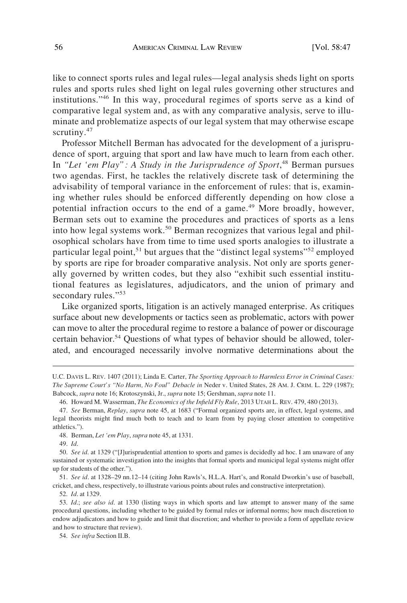like to connect sports rules and legal rules—legal analysis sheds light on sports rules and sports rules shed light on legal rules governing other structures and institutions."46 In this way, procedural regimes of sports serve as a kind of comparative legal system and, as with any comparative analysis, serve to illuminate and problematize aspects of our legal system that may otherwise escape scrutiny.<sup>47</sup>

Professor Mitchell Berman has advocated for the development of a jurisprudence of sport, arguing that sport and law have much to learn from each other. In "Let 'em Play": A Study in the Jurisprudence of Sport,<sup>48</sup> Berman pursues two agendas. First, he tackles the relatively discrete task of determining the advisability of temporal variance in the enforcement of rules: that is, examining whether rules should be enforced differently depending on how close a potential infraction occurs to the end of a game.<sup>49</sup> More broadly, however, Berman sets out to examine the procedures and practices of sports as a lens into how legal systems work.<sup>50</sup> Berman recognizes that various legal and philosophical scholars have from time to time used sports analogies to illustrate a particular legal point,<sup>51</sup> but argues that the "distinct legal systems"<sup>52</sup> employed by sports are ripe for broader comparative analysis. Not only are sports generally governed by written codes, but they also "exhibit such essential institutional features as legislatures, adjudicators, and the union of primary and secondary rules."<sup>53</sup>

Like organized sports, litigation is an actively managed enterprise. As critiques surface about new developments or tactics seen as problematic, actors with power can move to alter the procedural regime to restore a balance of power or discourage certain behavior.<sup>54</sup> Questions of what types of behavior should be allowed, tolerated, and encouraged necessarily involve normative determinations about the

49. *Id*.

51. *See id*. at 1328–29 nn.12–14 (citing John Rawls's, H.L.A. Hart's, and Ronald Dworkin's use of baseball, cricket, and chess, respectively, to illustrate various points about rules and constructive interpretation).

52. *Id*. at 1329.

U.C. DAVIS L. REV. 1407 (2011); Linda E. Carter, *The Sporting Approach to Harmless Error in Criminal Cases: The Supreme Court's "No Harm, No Foul" Debacle in* Neder v. United States, 28 AM. J. CRIM. L. 229 (1987); Babcock, *supra* note 16; Krotoszynski, Jr., *supra* note 15; Gershman, *supra* note 11.

<sup>46.</sup> Howard M. Wasserman, *The Economics of the Infield Fly Rule*, 2013 UTAH L. REV. 479, 480 (2013).

<sup>47.</sup> *See* Berman, *Replay*, *supra* note 45, at 1683 ("Formal organized sports are, in effect, legal systems, and legal theorists might find much both to teach and to learn from by paying closer attention to competitive athletics.").

<sup>48.</sup> Berman, *Let 'em Play*, *supra* note 45, at 1331.

<sup>50.</sup> *See id*. at 1329 ("[J]urisprudential attention to sports and games is decidedly ad hoc. I am unaware of any sustained or systematic investigation into the insights that formal sports and municipal legal systems might offer up for students of the other.").

<sup>53.</sup> *Id*.; *see also id*. at 1330 (listing ways in which sports and law attempt to answer many of the same procedural questions, including whether to be guided by formal rules or informal norms; how much discretion to endow adjudicators and how to guide and limit that discretion; and whether to provide a form of appellate review and how to structure that review).

<sup>54.</sup> *See infra* Section II.B.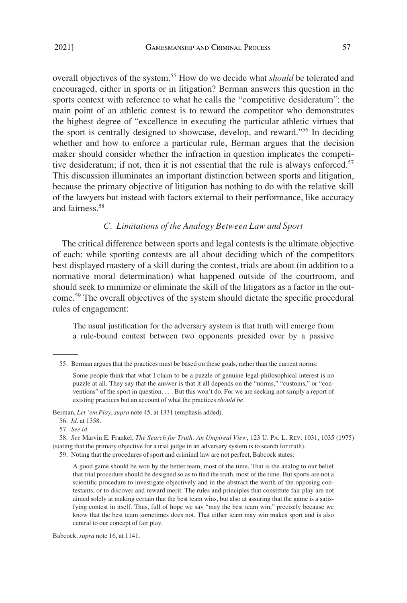<span id="page-10-0"></span>overall objectives of the system.55 How do we decide what *should* be tolerated and encouraged, either in sports or in litigation? Berman answers this question in the sports context with reference to what he calls the "competitive desideratum": the main point of an athletic contest is to reward the competitor who demonstrates the highest degree of "excellence in executing the particular athletic virtues that the sport is centrally designed to showcase, develop, and reward."56 In deciding whether and how to enforce a particular rule, Berman argues that the decision maker should consider whether the infraction in question implicates the competitive desideratum; if not, then it is not essential that the rule is always enforced.<sup>57</sup> This discussion illuminates an important distinction between sports and litigation, because the primary objective of litigation has nothing to do with the relative skill of the lawyers but instead with factors external to their performance, like accuracy and fairness.<sup>58</sup>

### *C. Limitations of the Analogy Between Law and Sport*

The critical difference between sports and legal contests is the ultimate objective of each: while sporting contests are all about deciding which of the competitors best displayed mastery of a skill during the contest, trials are about (in addition to a normative moral determination) what happened outside of the courtroom, and should seek to minimize or eliminate the skill of the litigators as a factor in the outcome.59 The overall objectives of the system should dictate the specific procedural rules of engagement:

The usual justification for the adversary system is that truth will emerge from a rule-bound contest between two opponents presided over by a passive

Berman, *Let 'em Play*, *supra* note 45, at 1331 (emphasis added).

Babcock, *supra* note 16, at 1141.

<sup>55.</sup> Berman argues that the practices must be based on these goals, rather than the current norms:

Some people think that what I claim to be a puzzle of genuine legal-philosophical interest is no puzzle at all. They say that the answer is that it all depends on the "norms," "customs," or "conventions" of the sport in question. . . . But this won't do. For we are seeking not simply a report of existing practices but an account of what the practices *should be*.

<sup>56.</sup> *Id*. at 1358.

<sup>57.</sup> *See id*.

<sup>58.</sup> *See* Marvin E. Frankel, *The Search for Truth: An Umpireal View*, 123 U. PA. L. REV. 1031, 1035 (1975) (stating that the primary objective for a trial judge in an adversary system is to search for truth).

<sup>59.</sup> Noting that the procedures of sport and criminal law are not perfect, Babcock states:

A good game should be won by the better team, most of the time. That is the analog to our belief that trial procedure should be designed so as to find the truth, most of the time. But sports are not a scientific procedure to investigate objectively and in the abstract the worth of the opposing contestants, or to discover and reward merit. The rules and principles that constitute fair play are not aimed solely at making certain that the best team wins, but also at assuring that the game is a satisfying contest in itself. Thus, full of hope we say "may the best team win," precisely because we know that the best team sometimes does not. That either team may win makes sport and is also central to our concept of fair play.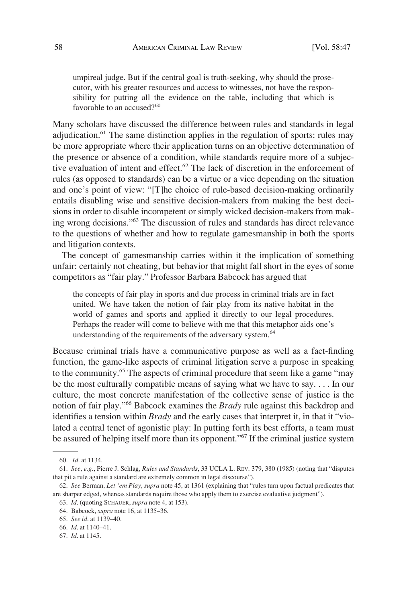umpireal judge. But if the central goal is truth-seeking, why should the prosecutor, with his greater resources and access to witnesses, not have the responsibility for putting all the evidence on the table, including that which is favorable to an accused?<sup>60</sup>

Many scholars have discussed the difference between rules and standards in legal adjudication.<sup>61</sup> The same distinction applies in the regulation of sports: rules may be more appropriate where their application turns on an objective determination of the presence or absence of a condition, while standards require more of a subjective evaluation of intent and effect.<sup>62</sup> The lack of discretion in the enforcement of rules (as opposed to standards) can be a virtue or a vice depending on the situation and one's point of view: "[T]he choice of rule-based decision-making ordinarily entails disabling wise and sensitive decision-makers from making the best decisions in order to disable incompetent or simply wicked decision-makers from making wrong decisions."63 The discussion of rules and standards has direct relevance to the questions of whether and how to regulate gamesmanship in both the sports and litigation contexts.

The concept of gamesmanship carries within it the implication of something unfair: certainly not cheating, but behavior that might fall short in the eyes of some competitors as "fair play." Professor Barbara Babcock has argued that

the concepts of fair play in sports and due process in criminal trials are in fact united. We have taken the notion of fair play from its native habitat in the world of games and sports and applied it directly to our legal procedures. Perhaps the reader will come to believe with me that this metaphor aids one's understanding of the requirements of the adversary system.<sup>64</sup>

Because criminal trials have a communicative purpose as well as a fact-finding function, the game-like aspects of criminal litigation serve a purpose in speaking to the community.65 The aspects of criminal procedure that seem like a game "may be the most culturally compatible means of saying what we have to say. . . . In our culture, the most concrete manifestation of the collective sense of justice is the notion of fair play."66 Babcock examines the *Brady* rule against this backdrop and identifies a tension within *Brady* and the early cases that interpret it, in that it "violated a central tenet of agonistic play: In putting forth its best efforts, a team must be assured of helping itself more than its opponent."<sup>67</sup> If the criminal justice system

<sup>60.</sup> *Id*. at 1134.

<sup>61.</sup> *See, e.g*., Pierre J. Schlag, *Rules and Standards*, 33 UCLA L. REV. 379, 380 (1985) (noting that "disputes that pit a rule against a standard are extremely common in legal discourse").

<sup>62.</sup> *See* Berman, *Let 'em Play*, *supra* note 45, at 1361 (explaining that "rules turn upon factual predicates that are sharper edged, whereas standards require those who apply them to exercise evaluative judgment").

<sup>63.</sup> *Id*. (quoting SCHAUER, *supra* note 4, at 153).

<sup>64.</sup> Babcock, *supra* note 16, at 1135–36.

<sup>65.</sup> *See id*. at 1139–40.

<sup>66.</sup> *Id*. at 1140–41. 67. *Id*. at 1145.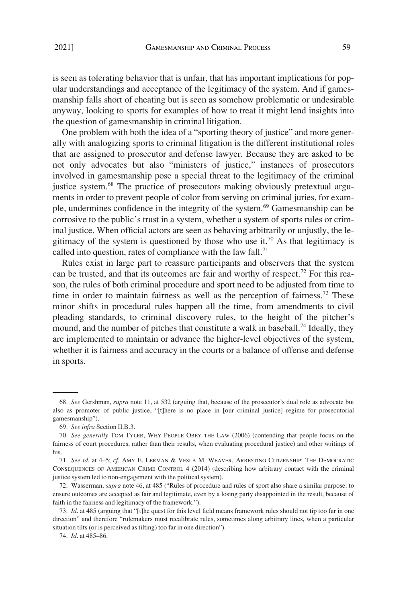is seen as tolerating behavior that is unfair, that has important implications for popular understandings and acceptance of the legitimacy of the system. And if gamesmanship falls short of cheating but is seen as somehow problematic or undesirable anyway, looking to sports for examples of how to treat it might lend insights into the question of gamesmanship in criminal litigation.

One problem with both the idea of a "sporting theory of justice" and more generally with analogizing sports to criminal litigation is the different institutional roles that are assigned to prosecutor and defense lawyer. Because they are asked to be not only advocates but also "ministers of justice," instances of prosecutors involved in gamesmanship pose a special threat to the legitimacy of the criminal justice system.<sup>68</sup> The practice of prosecutors making obviously pretextual arguments in order to prevent people of color from serving on criminal juries, for example, undermines confidence in the integrity of the system.<sup>69</sup> Gamesmanship can be corrosive to the public's trust in a system, whether a system of sports rules or criminal justice. When official actors are seen as behaving arbitrarily or unjustly, the legitimacy of the system is questioned by those who use it.<sup>70</sup> As that legitimacy is called into question, rates of compliance with the law fall.<sup>71</sup>

Rules exist in large part to reassure participants and observers that the system can be trusted, and that its outcomes are fair and worthy of respect.<sup>72</sup> For this reason, the rules of both criminal procedure and sport need to be adjusted from time to time in order to maintain fairness as well as the perception of fairness.<sup>73</sup> These minor shifts in procedural rules happen all the time, from amendments to civil pleading standards, to criminal discovery rules, to the height of the pitcher's mound, and the number of pitches that constitute a walk in baseball.<sup>74</sup> Ideally, they are implemented to maintain or advance the higher-level objectives of the system, whether it is fairness and accuracy in the courts or a balance of offense and defense in sports.

<sup>68.</sup> *See* Gershman, *supra* note 11, at 532 (arguing that, because of the prosecutor's dual role as advocate but also as promoter of public justice, "[t]here is no place in [our criminal justice] regime for prosecutorial gamesmanship").

<sup>69.</sup> *See infra* Section II.B.3.

<sup>70.</sup> *See generally* TOM TYLER, WHY PEOPLE OBEY THE LAW (2006) (contending that people focus on the fairness of court procedures, rather than their results, when evaluating procedural justice) and other writings of his.

<sup>71.</sup> *See id*. at 4–5; *cf*. AMY E. LERMAN & VESLA M. WEAVER, ARRESTING CITIZENSHIP: THE DEMOCRATIC CONSEQUENCES OF AMERICAN CRIME CONTROL 4 (2014) (describing how arbitrary contact with the criminal justice system led to non-engagement with the political system).

<sup>72.</sup> Wasserman, *supra* note 46, at 485 ("Rules of procedure and rules of sport also share a similar purpose: to ensure outcomes are accepted as fair and legitimate, even by a losing party disappointed in the result, because of faith in the fairness and legitimacy of the framework.").

<sup>73.</sup> *Id*. at 485 (arguing that "[t]he quest for this level field means framework rules should not tip too far in one direction" and therefore "rulemakers must recalibrate rules, sometimes along arbitrary lines, when a particular situation tilts (or is perceived as tilting) too far in one direction").

<sup>74.</sup> *Id*. at 485–86.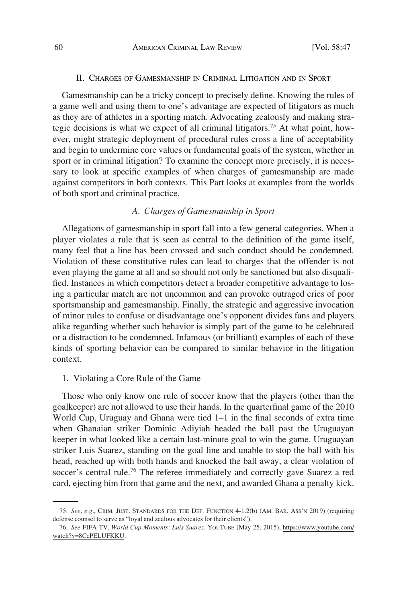#### II. CHARGES OF GAMESMANSHIP IN CRIMINAL LITIGATION AND IN SPORT

<span id="page-13-0"></span>Gamesmanship can be a tricky concept to precisely define. Knowing the rules of a game well and using them to one's advantage are expected of litigators as much as they are of athletes in a sporting match. Advocating zealously and making strategic decisions is what we expect of all criminal litigators.75 At what point, however, might strategic deployment of procedural rules cross a line of acceptability and begin to undermine core values or fundamental goals of the system, whether in sport or in criminal litigation? To examine the concept more precisely, it is necessary to look at specific examples of when charges of gamesmanship are made against competitors in both contexts. This Part looks at examples from the worlds of both sport and criminal practice.

## *A. Charges of Gamesmanship in Sport*

Allegations of gamesmanship in sport fall into a few general categories. When a player violates a rule that is seen as central to the definition of the game itself, many feel that a line has been crossed and such conduct should be condemned. Violation of these constitutive rules can lead to charges that the offender is not even playing the game at all and so should not only be sanctioned but also disqualified. Instances in which competitors detect a broader competitive advantage to losing a particular match are not uncommon and can provoke outraged cries of poor sportsmanship and gamesmanship. Finally, the strategic and aggressive invocation of minor rules to confuse or disadvantage one's opponent divides fans and players alike regarding whether such behavior is simply part of the game to be celebrated or a distraction to be condemned. Infamous (or brilliant) examples of each of these kinds of sporting behavior can be compared to similar behavior in the litigation context.

#### 1. Violating a Core Rule of the Game

Those who only know one rule of soccer know that the players (other than the goalkeeper) are not allowed to use their hands. In the quarterfinal game of the 2010 World Cup, Uruguay and Ghana were tied 1–1 in the final seconds of extra time when Ghanaian striker Dominic Adiyiah headed the ball past the Uruguayan keeper in what looked like a certain last-minute goal to win the game. Uruguayan striker Luis Suarez, standing on the goal line and unable to stop the ball with his head, reached up with both hands and knocked the ball away, a clear violation of soccer's central rule.<sup>76</sup> The referee immediately and correctly gave Suarez a red card, ejecting him from that game and the next, and awarded Ghana a penalty kick.

<sup>75.</sup> *See, e.g*., CRIM. JUST. STANDARDS FOR THE DEF. FUNCTION 4-1.2(b) (AM. BAR. ASS'N 2019) (requiring defense counsel to serve as "loyal and zealous advocates for their clients").

*See* FIFA TV, *World Cup Moments: Luis Suarez*, YOUTUBE (May 25, 2015), [https://www.youtube.com/](https://www.youtube.com/watch?v=8CcPELUFKKU)  76. [watch?v=8CcPELUFKKU.](https://www.youtube.com/watch?v=8CcPELUFKKU)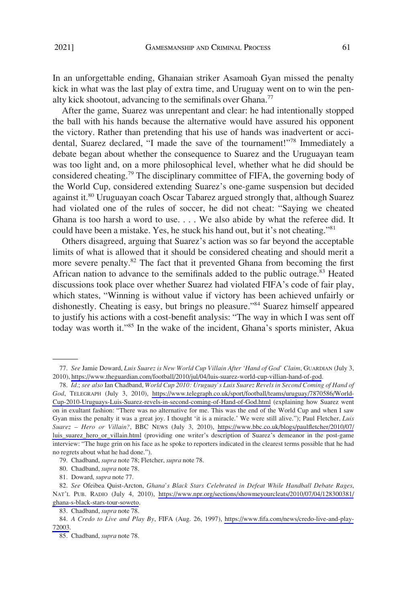In an unforgettable ending, Ghanaian striker Asamoah Gyan missed the penalty kick in what was the last play of extra time, and Uruguay went on to win the penalty kick shootout, advancing to the semifinals over Ghana.<sup>77</sup>

After the game, Suarez was unrepentant and clear: he had intentionally stopped the ball with his hands because the alternative would have assured his opponent the victory. Rather than pretending that his use of hands was inadvertent or accidental, Suarez declared, "I made the save of the tournament!"78 Immediately a debate began about whether the consequence to Suarez and the Uruguayan team was too light and, on a more philosophical level, whether what he did should be considered cheating.<sup>79</sup> The disciplinary committee of FIFA, the governing body of the World Cup, considered extending Suarez's one-game suspension but decided against it.<sup>80</sup> Uruguayan coach Oscar Tabarez argued strongly that, although Suarez had violated one of the rules of soccer, he did not cheat: "Saying we cheated Ghana is too harsh a word to use. . . . We also abide by what the referee did. It could have been a mistake. Yes, he stuck his hand out, but it's not cheating."<sup>81</sup>

Others disagreed, arguing that Suarez's action was so far beyond the acceptable limits of what is allowed that it should be considered cheating and should merit a more severe penalty.<sup>82</sup> The fact that it prevented Ghana from becoming the first African nation to advance to the semifinals added to the public outrage.<sup>83</sup> Heated discussions took place over whether Suarez had violated FIFA's code of fair play, which states, "Winning is without value if victory has been achieved unfairly or dishonestly. Cheating is easy, but brings no pleasure."84 Suarez himself appeared to justify his actions with a cost-benefit analysis: "The way in which I was sent off today was worth it."85 In the wake of the incident, Ghana's sports minister, Akua

*See* Jamie Doward, *Luis Suarez is New World Cup Villain After 'Hand of God' Claim*, GUARDIAN (July 3, 77. 2010),<https://www.theguardian.com/football/2010/jul/04/luis-suarez-world-cup-villian-hand-of-god>.

*Id*.; *see also* Ian Chadband, *World Cup 2010: Uruguay's Luis Suarez Revels in Second Coming of Hand of*  78. *God*, TELEGRAPH (July 3, 2010), [https://www.telegraph.co.uk/sport/football/teams/uruguay/7870586/World-](https://www.telegraph.co.uk/sport/football/teams/uruguay/7870586/World-Cup-2010-Uruguays-Luis-Suarez-revels-in-second-coming-of-Hand-of-God.html)[Cup-2010-Uruguays-Luis-Suarez-revels-in-second-coming-of-Hand-of-God.html](https://www.telegraph.co.uk/sport/football/teams/uruguay/7870586/World-Cup-2010-Uruguays-Luis-Suarez-revels-in-second-coming-of-Hand-of-God.html) (explaining how Suarez went on in exultant fashion: "There was no alternative for me. This was the end of the World Cup and when I saw Gyan miss the penalty it was a great joy. I thought 'it is a miracle.' We were still alive."); Paul Fletcher, *Luis Suarez – Hero or Villain?*, BBC NEWS (July 3, 2010), [https://www.bbc.co.uk/blogs/paulfletcher/2010/07/](https://www.bbc.co.uk/blogs/paulfletcher/2010/07/luis_suarez_hero_or_villain.html) [luis\\_suarez\\_hero\\_or\\_villain.html](https://www.bbc.co.uk/blogs/paulfletcher/2010/07/luis_suarez_hero_or_villain.html) (providing one writer's description of Suarez's demeanor in the post-game interview: "The huge grin on his face as he spoke to reporters indicated in the clearest terms possible that he had no regrets about what he had done.").

<sup>79.</sup> Chadband, *supra* note 78; Fletcher, *supra* note 78.

<sup>80.</sup> Chadband, *supra* note 78.

<sup>81.</sup> Doward, *supra* note 77.

*See* Ofeibea Quist-Arcton, *Ghana's Black Stars Celebrated in Defeat While Handball Debate Rages*, 82. NAT'L PUB. RADIO (July 4, 2010), [https://www.npr.org/sections/showmeyourcleats/2010/07/04/128300381/](https://www.npr.org/sections/showmeyourcleats/2010/07/04/128300381/ghana-s-black-stars-tour-soweto) [ghana-s-black-stars-tour-soweto](https://www.npr.org/sections/showmeyourcleats/2010/07/04/128300381/ghana-s-black-stars-tour-soweto).

<sup>83.</sup> Chadband, *supra* note 78.

*A Credo to Live and Play By*, FIFA (Aug. 26, 1997), [https://www.fifa.com/news/credo-live-and-play-](https://www.fifa.com/news/credo-live-and-play-72003)84. [72003](https://www.fifa.com/news/credo-live-and-play-72003).

<sup>85.</sup> Chadband, *supra* note 78.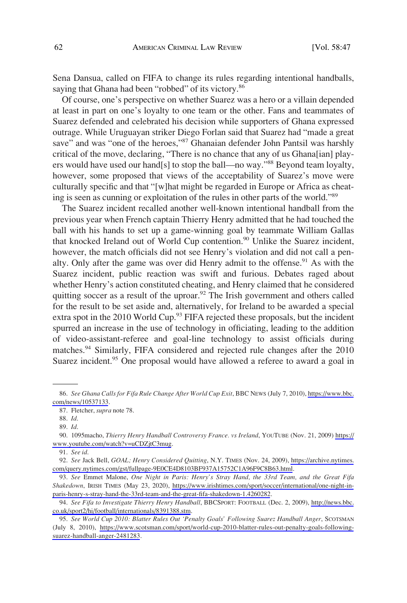Sena Dansua, called on FIFA to change its rules regarding intentional handballs, saying that Ghana had been "robbed" of its victory.<sup>86</sup>

Of course, one's perspective on whether Suarez was a hero or a villain depended at least in part on one's loyalty to one team or the other. Fans and teammates of Suarez defended and celebrated his decision while supporters of Ghana expressed outrage. While Uruguayan striker Diego Forlan said that Suarez had "made a great save" and was "one of the heroes,"87 Ghanaian defender John Pantsil was harshly critical of the move, declaring, "There is no chance that any of us Ghana[ian] players would have used our hand[s] to stop the ball—no way."<sup>88</sup> Beyond team loyalty, however, some proposed that views of the acceptability of Suarez's move were culturally specific and that "[w]hat might be regarded in Europe or Africa as cheating is seen as cunning or exploitation of the rules in other parts of the world."89

The Suarez incident recalled another well-known intentional handball from the previous year when French captain Thierry Henry admitted that he had touched the ball with his hands to set up a game-winning goal by teammate William Gallas that knocked Ireland out of World Cup contention.<sup>90</sup> Unlike the Suarez incident, however, the match officials did not see Henry's violation and did not call a penalty. Only after the game was over did Henry admit to the offense.<sup>91</sup> As with the Suarez incident, public reaction was swift and furious. Debates raged about whether Henry's action constituted cheating, and Henry claimed that he considered quitting soccer as a result of the uproar. $92$  The Irish government and others called for the result to be set aside and, alternatively, for Ireland to be awarded a special extra spot in the 2010 World Cup.<sup>93</sup> FIFA rejected these proposals, but the incident spurred an increase in the use of technology in officiating, leading to the addition of video-assistant-referee and goal-line technology to assist officials during matches.<sup>94</sup> Similarly, FIFA considered and rejected rule changes after the 2010 Suarez incident.<sup>95</sup> One proposal would have allowed a referee to award a goal in

*See Ghana Calls for Fifa Rule Change After World Cup Exit*, BBC NEWS (July 7, 2010), [https://www.bbc.](https://www.bbc.com/news/10537133) 86. [com/news/10537133](https://www.bbc.com/news/10537133).

<sup>87.</sup> Fletcher, *supra* note 78.

<sup>88.</sup> *Id*.

<sup>89.</sup> *Id*.

<sup>1095</sup>macho, *Thierry Henry Handball Controversy France. vs Ireland*, YOUTUBE (Nov. 21, 2009) [https://](https://www.youtube.com/watch?v=uCDZjtC3mug) 90. [www.youtube.com/watch?v=uCDZjtC3mug](https://www.youtube.com/watch?v=uCDZjtC3mug).

<sup>91.</sup> *See id*.

*See* Jack Bell, *GOAL; Henry Considered Quitting*, N.Y. TIMES (Nov. 24, 2009), [https://archive.nytimes.](https://archive.nytimes.com/query.nytimes.com/gst/fullpage-9E0CE4D8103BF937A15752C1A96F9C8B63.html) 92. [com/query.nytimes.com/gst/fullpage-9E0CE4D8103BF937A15752C1A96F9C8B63.html](https://archive.nytimes.com/query.nytimes.com/gst/fullpage-9E0CE4D8103BF937A15752C1A96F9C8B63.html).

*See* Emmet Malone, *One Night in Paris: Henry's Stray Hand, the 33rd Team, and the Great Fifa*  93. *Shakedown*, IRISH TIMES (May 23, 2020), [https://www.irishtimes.com/sport/soccer/international/one-night-in](https://www.irishtimes.com/sport/soccer/international/one-night-in-paris-henry-s-stray-hand-the-33rd-team-and-the-great-fifa-shakedown-1.4260282)[paris-henry-s-stray-hand-the-33rd-team-and-the-great-fifa-shakedown-1.4260282](https://www.irishtimes.com/sport/soccer/international/one-night-in-paris-henry-s-stray-hand-the-33rd-team-and-the-great-fifa-shakedown-1.4260282).

<sup>94.</sup> See Fifa to Investigate Thierry Henry Handball, BBCSPORT: FOOTBALL (Dec. 2, 2009), [http://news.bbc.](http://news.bbc.co.uk/sport2/hi/football/internationals/8391388.stm) [co.uk/sport2/hi/football/internationals/8391388.stm](http://news.bbc.co.uk/sport2/hi/football/internationals/8391388.stm).

*See World Cup 2010: Blatter Rules Out 'Penalty Goals' Following Suarez Handball Anger*, SCOTSMAN 95. (July 8, 2010), [https://www.scotsman.com/sport/world-cup-2010-blatter-rules-out-penalty-goals-following](https://www.scotsman.com/sport/world-cup-2010-blatter-rules-out-penalty-goals-following-suarez-handball-anger-2481283)[suarez-handball-anger-2481283](https://www.scotsman.com/sport/world-cup-2010-blatter-rules-out-penalty-goals-following-suarez-handball-anger-2481283).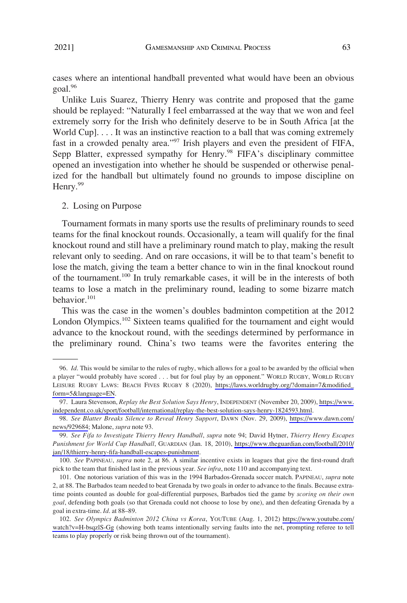<span id="page-16-0"></span>cases where an intentional handball prevented what would have been an obvious goal.96

Unlike Luis Suarez, Thierry Henry was contrite and proposed that the game should be replayed: "Naturally I feel embarrassed at the way that we won and feel extremely sorry for the Irish who definitely deserve to be in South Africa [at the World Cup]. . . . It was an instinctive reaction to a ball that was coming extremely fast in a crowded penalty area."<sup>97</sup> Irish players and even the president of FIFA, Sepp Blatter, expressed sympathy for Henry.<sup>98</sup> FIFA's disciplinary committee opened an investigation into whether he should be suspended or otherwise penalized for the handball but ultimately found no grounds to impose discipline on Henry.<sup>99</sup>

#### 2. Losing on Purpose

Tournament formats in many sports use the results of preliminary rounds to seed teams for the final knockout rounds. Occasionally, a team will qualify for the final knockout round and still have a preliminary round match to play, making the result relevant only to seeding. And on rare occasions, it will be to that team's benefit to lose the match, giving the team a better chance to win in the final knockout round of the tournament.100 In truly remarkable cases, it will be in the interests of both teams to lose a match in the preliminary round, leading to some bizarre match behavior.<sup>101</sup>

This was the case in the women's doubles badminton competition at the 2012 London Olympics.<sup>102</sup> Sixteen teams qualified for the tournament and eight would advance to the knockout round, with the seedings determined by performance in the preliminary round. China's two teams were the favorites entering the

<sup>96.</sup> *Id*. This would be similar to the rules of rugby, which allows for a goal to be awarded by the official when a player "would probably have scored . . . but for foul play by an opponent." WORLD RUGBY, WORLD RUGBY LEISURE RUGBY LAWS: BEACH FIVES RUGBY 8 (2020), [https://laws.worldrugby.org/?domain=7&modified\\_](https://laws.worldrugby.org/?domain=7&modified_form=5&language=EN) [form=5&language=EN](https://laws.worldrugby.org/?domain=7&modified_form=5&language=EN).

<sup>97.</sup> Laura Stevenson, *Replay the Best Solution Says Henry*, INDEPENDENT (November 20, 2009), [https://www.](https://www.independent.co.uk/sport/football/international/replay-the-best-solution-says-henry-1824593.html) [independent.co.uk/sport/football/international/replay-the-best-solution-says-henry-1824593.html](https://www.independent.co.uk/sport/football/international/replay-the-best-solution-says-henry-1824593.html).

*See Blatter Breaks Silence to Reveal Henry Support*, DAWN (Nov. 29, 2009), [https://www.dawn.com/](https://www.dawn.com/news/929684) 98. [news/929684](https://www.dawn.com/news/929684); Malone, *supra* note 93.

*See Fifa to Investigate Thierry Henry Handball*, *supra* note 94; David Hytner, *Thierry Henry Escapes*  99. *Punishment for World Cup Handball*, GUARDIAN (Jan. 18, 2010), [https://www.theguardian.com/football/2010/](https://www.theguardian.com/football/2010/jan/18/thierry-henry-fifa-handball-escapes-punishment) [jan/18/thierry-henry-fifa-handball-escapes-punishment](https://www.theguardian.com/football/2010/jan/18/thierry-henry-fifa-handball-escapes-punishment).

<sup>100.</sup> *See* PAPINEAU, *supra* note 2, at 86. A similar incentive exists in leagues that give the first-round draft pick to the team that finished last in the previous year. *See infra*, note 110 and accompanying text.

<sup>101.</sup> One notorious variation of this was in the 1994 Barbados-Grenada soccer match. PAPINEAU, *supra* note 2, at 88. The Barbados team needed to beat Grenada by two goals in order to advance to the finals. Because extratime points counted as double for goal-differential purposes, Barbados tied the game by *scoring on their own goal*, defending both goals (so that Grenada could not choose to lose by one), and then defeating Grenada by a goal in extra-time. *Id*. at 88–89.

*See Olympics Badminton 2012 China vs Korea*, YOUTUBE (Aug. 1, 2012) [https://www.youtube.com/](https://www.youtube.com/watch?v=H-bsqzlS-Gg) 102. [watch?v=H-bsqzlS-Gg](https://www.youtube.com/watch?v=H-bsqzlS-Gg) (showing both teams intentionally serving faults into the net, prompting referee to tell teams to play properly or risk being thrown out of the tournament).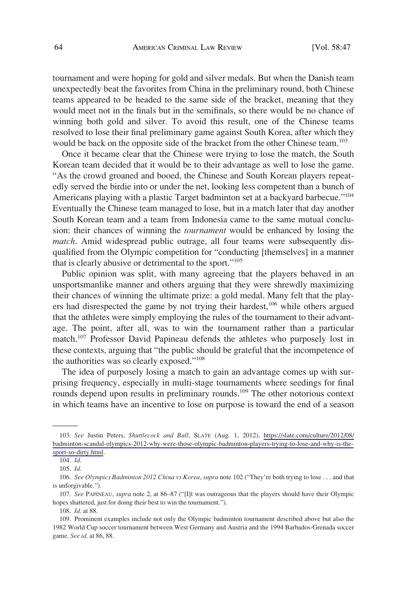tournament and were hoping for gold and silver medals. But when the Danish team unexpectedly beat the favorites from China in the preliminary round, both Chinese teams appeared to be headed to the same side of the bracket, meaning that they would meet not in the finals but in the semifinals, so there would be no chance of winning both gold and silver. To avoid this result, one of the Chinese teams resolved to lose their final preliminary game against South Korea, after which they would be back on the opposite side of the bracket from the other Chinese team.<sup>103</sup>

Once it became clear that the Chinese were trying to lose the match, the South Korean team decided that it would be to their advantage as well to lose the game. "As the crowd groaned and booed, the Chinese and South Korean players repeatedly served the birdie into or under the net, looking less competent than a bunch of Americans playing with a plastic Target badminton set at a backyard barbecue."<sup>104</sup> Eventually the Chinese team managed to lose, but in a match later that day another South Korean team and a team from Indonesia came to the same mutual conclusion: their chances of winning the *tournament* would be enhanced by losing the *match*. Amid widespread public outrage, all four teams were subsequently disqualified from the Olympic competition for "conducting [themselves] in a manner that is clearly abusive or detrimental to the sport."<sup>105</sup>

Public opinion was split, with many agreeing that the players behaved in an unsportsmanlike manner and others arguing that they were shrewdly maximizing their chances of winning the ultimate prize: a gold medal. Many felt that the players had disrespected the game by not trying their hardest,<sup>106</sup> while others argued that the athletes were simply employing the rules of the tournament to their advantage. The point, after all, was to win the tournament rather than a particular match.<sup>107</sup> Professor David Papineau defends the athletes who purposely lost in these contexts, arguing that "the public should be grateful that the incompetence of the authorities was so clearly exposed."108

The idea of purposely losing a match to gain an advantage comes up with surprising frequency, especially in multi-stage tournaments where seedings for final rounds depend upon results in preliminary rounds.<sup>109</sup> The other notorious context in which teams have an incentive to lose on purpose is toward the end of a season

*See* Justin Peters, *Shuttlecock and Bull*, SLATE (Aug. 1, 2012), [https://slate.com/culture/2012/08/](https://slate.com/culture/2012/08/badminton-scandal-olympics-2012-why-were-those-olympic-badminton-players-trying-to-lose-and-why-is-the-sport-so-dirty.html) 103. [badminton-scandal-olympics-2012-why-were-those-olympic-badminton-players-trying-to-lose-and-why-is-the](https://slate.com/culture/2012/08/badminton-scandal-olympics-2012-why-were-those-olympic-badminton-players-trying-to-lose-and-why-is-the-sport-so-dirty.html)[sport-so-dirty.html.](https://slate.com/culture/2012/08/badminton-scandal-olympics-2012-why-were-those-olympic-badminton-players-trying-to-lose-and-why-is-the-sport-so-dirty.html)

<sup>104.</sup> *Id*.

<sup>105.</sup> *Id*.

<sup>106.</sup> *See Olympics Badminton 2012 China vs Korea*, *supra* note 102 ("They're both trying to lose . . . and that is unforgivable.").

<sup>107.</sup> *See* PAPINEAU, *supra* note 2, at 86–87 ("[I]t was outrageous that the players should have their Olympic hopes shattered, just for doing their best to win the tournament.").

<sup>108.</sup> *Id*. at 88.

<sup>109.</sup> Prominent examples include not only the Olympic badminton tournament described above but also the 1982 World Cup soccer tournament between West Germany and Austria and the 1994 Barbados-Grenada soccer game. *See id*. at 86, 88.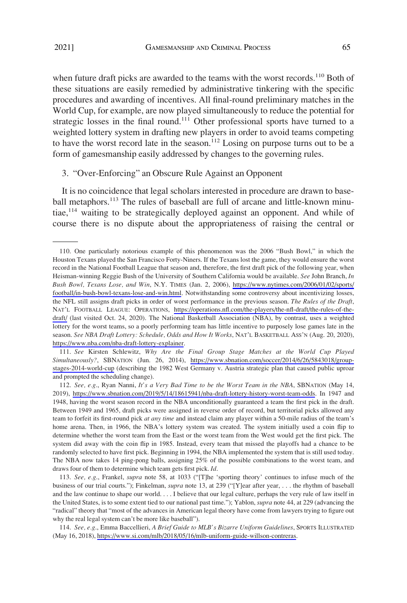<span id="page-18-0"></span>when future draft picks are awarded to the teams with the worst records.<sup>110</sup> Both of these situations are easily remedied by administrative tinkering with the specific procedures and awarding of incentives. All final-round preliminary matches in the World Cup, for example, are now played simultaneously to reduce the potential for strategic losses in the final round.<sup>111</sup> Other professional sports have turned to a weighted lottery system in drafting new players in order to avoid teams competing to have the worst record late in the season.<sup>112</sup> Losing on purpose turns out to be a form of gamesmanship easily addressed by changes to the governing rules.

#### 3. "Over-Enforcing" an Obscure Rule Against an Opponent

It is no coincidence that legal scholars interested in procedure are drawn to baseball metaphors.<sup>113</sup> The rules of baseball are full of arcane and little-known minutiae,<sup>114</sup> waiting to be strategically deployed against an opponent. And while of course there is no dispute about the appropriateness of raising the central or

*See* Kirsten Schlewitz, *Why Are the Final Group Stage Matches at the World Cup Played*  111. *Simultaneously?*, SBNATION (Jun. 26, 2014), [https://www.sbnation.com/soccer/2014/6/26/5843018/group](https://www.sbnation.com/soccer/2014/6/26/5843018/group-stages-2014-world-cup)[stages-2014-world-cup](https://www.sbnation.com/soccer/2014/6/26/5843018/group-stages-2014-world-cup) (describing the 1982 West Germany v. Austria strategic plan that caused public uproar and prompted the scheduling change).

*See, e.g*., Ryan Nanni, *It's a Very Bad Time to be the Worst Team in the NBA*, SBNATION (May 14, 112. 2019), <https://www.sbnation.com/2019/5/14/18615941/nba-draft-lottery-history-worst-team-odds>. In 1947 and 1948, having the worst season record in the NBA unconditionally guaranteed a team the first pick in the draft. Between 1949 and 1965, draft picks were assigned in reverse order of record, but territorial picks allowed any team to forfeit its first-round pick *at any time* and instead claim any player within a 50-mile radius of the team's home arena. Then, in 1966, the NBA's lottery system was created. The system initially used a coin flip to determine whether the worst team from the East or the worst team from the West would get the first pick. The system did away with the coin flip in 1985. Instead, every team that missed the playoffs had a chance to be randomly selected to have first pick. Beginning in 1994, the NBA implemented the system that is still used today. The NBA now takes 14 ping-pong balls, assigning 25% of the possible combinations to the worst team, and draws four of them to determine which team gets first pick. *Id*.

113. *See, e.g*., Frankel, *supra* note 58, at 1033 ("[T]he 'sporting theory' continues to infuse much of the business of our trial courts."); Finkelman, *supra* note 13, at 239 ("[Y]ear after year, . . . the rhythm of baseball and the law continue to shape our world. . . . I believe that our legal culture, perhaps the very rule of law itself in the United States, is to some extent tied to our national past time."); Yablon, *supra* note 44, at 229 (advancing the "radical" theory that "most of the advances in American legal theory have come from lawyers trying to figure out why the real legal system can't be more like baseball").

*See, e.g*., Emma Baccellieri, *A Brief Guide to MLB's Bizarre Uniform Guidelines*, SPORTS ILLUSTRATED 114. (May 16, 2018), [https://www.si.com/mlb/2018/05/16/mlb-uniform-guide-willson-contreras.](https://www.si.com/mlb/2018/05/16/mlb-uniform-guide-willson-contreras)

<sup>110.</sup> One particularly notorious example of this phenomenon was the 2006 "Bush Bowl," in which the Houston Texans played the San Francisco Forty-Niners. If the Texans lost the game, they would ensure the worst record in the National Football League that season and, therefore, the first draft pick of the following year, when Heisman-winning Reggie Bush of the University of Southern California would be available. *See* John Branch, *In Bush Bowl, Texans Lose, and Win*, N.Y. TIMES (Jan. 2, 2006), [https://www.nytimes.com/2006/01/02/sports/](https://www.nytimes.com/2006/01/02/sports/football/in-bush-bowl-texans-lose-and-win.html)  [football/in-bush-bowl-texans-lose-and-win.html.](https://www.nytimes.com/2006/01/02/sports/football/in-bush-bowl-texans-lose-and-win.html) Notwithstanding some controversy about incentivizing losses, the NFL still assigns draft picks in order of worst performance in the previous season. *The Rules of the Draft*, NAT'L FOOTBALL LEAGUE: OPERATIONS, [https://operations.nfl.com/the-players/the-nfl-draft/the-rules-of-the](https://operations.nfl.com/the-players/the-nfl-draft/the-rules-of-the-draft/)[draft/](https://operations.nfl.com/the-players/the-nfl-draft/the-rules-of-the-draft/) (last visited Oct. 24, 2020). The National Basketball Association (NBA), by contrast, uses a weighted lottery for the worst teams, so a poorly performing team has little incentive to purposely lose games late in the season. *See NBA Draft Lottery: Schedule, Odds and How It Works*, NAT'L BASKETBALL ASS'N (Aug. 20, 2020), <https://www.nba.com/nba-draft-lottery-explainer>.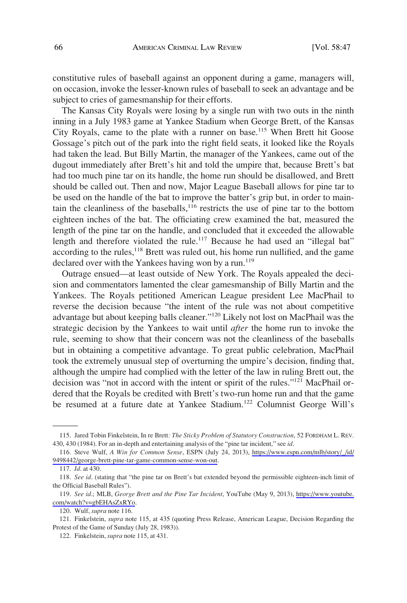constitutive rules of baseball against an opponent during a game, managers will, on occasion, invoke the lesser-known rules of baseball to seek an advantage and be subject to cries of gamesmanship for their efforts.

The Kansas City Royals were losing by a single run with two outs in the ninth inning in a July 1983 game at Yankee Stadium when George Brett, of the Kansas City Royals, came to the plate with a runner on base.<sup>115</sup> When Brett hit Goose Gossage's pitch out of the park into the right field seats, it looked like the Royals had taken the lead. But Billy Martin, the manager of the Yankees, came out of the dugout immediately after Brett's hit and told the umpire that, because Brett's bat had too much pine tar on its handle, the home run should be disallowed, and Brett should be called out. Then and now, Major League Baseball allows for pine tar to be used on the handle of the bat to improve the batter's grip but, in order to maintain the cleanliness of the baseballs, $116$  restricts the use of pine tar to the bottom eighteen inches of the bat. The officiating crew examined the bat, measured the length of the pine tar on the handle, and concluded that it exceeded the allowable length and therefore violated the rule.<sup>117</sup> Because he had used an "illegal bat" according to the rules, $118$  Brett was ruled out, his home run nullified, and the game declared over with the Yankees having won by a run.<sup>119</sup>

Outrage ensued—at least outside of New York. The Royals appealed the decision and commentators lamented the clear gamesmanship of Billy Martin and the Yankees. The Royals petitioned American League president Lee MacPhail to reverse the decision because "the intent of the rule was not about competitive advantage but about keeping balls cleaner."120 Likely not lost on MacPhail was the strategic decision by the Yankees to wait until *after* the home run to invoke the rule, seeming to show that their concern was not the cleanliness of the baseballs but in obtaining a competitive advantage. To great public celebration, MacPhail took the extremely unusual step of overturning the umpire's decision, finding that, although the umpire had complied with the letter of the law in ruling Brett out, the decision was "not in accord with the intent or spirit of the rules."121 MacPhail ordered that the Royals be credited with Brett's two-run home run and that the game be resumed at a future date at Yankee Stadium.<sup>122</sup> Columnist George Will's

<sup>115.</sup> Jared Tobin Finkelstein, In re Brett*: The Sticky Problem of Statutory Construction*, 52 FORDHAM L. REV. 430, 430 (1984). For an in-depth and entertaining analysis of the "pine tar incident," see *id*.

<sup>116.</sup> Steve Wulf, *A Win for Common Sense*, ESPN (July 24, 2013), https://www.espn.com/mlb/story/\_/id/ [9498442/george-brett-pine-tar-game-common-sense-won-out.](https://www.espn.com/mlb/story/_/id/9498442/george-brett-pine-tar-game-common-sense-won-out)

<sup>117.</sup> *Id*. at 430.

<sup>118.</sup> *See id*. (stating that "the pine tar on Brett's bat extended beyond the permissible eighteen-inch limit of the Official Baseball Rules").

*See id*.; MLB, *George Brett and the Pine Tar Incident*, YouTube (May 9, 2013), [https://www.youtube.](https://www.youtube.com/watch?v=gbEHAsZxRYo) 119. [com/watch?v=gbEHAsZxRYo](https://www.youtube.com/watch?v=gbEHAsZxRYo).

<sup>120.</sup> Wulf, *supra* note 116.

<sup>121.</sup> Finkelstein, *supra* note 115, at 435 (quoting Press Release, American League, Decision Regarding the Protest of the Game of Sunday (July 28, 1983)).

<sup>122.</sup> Finkelstein, *supra* note 115, at 431.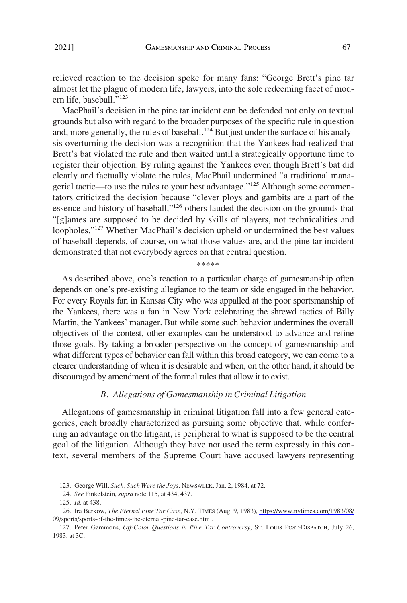<span id="page-20-0"></span>relieved reaction to the decision spoke for many fans: "George Brett's pine tar almost let the plague of modern life, lawyers, into the sole redeeming facet of modern life, baseball."<sup>123</sup>

MacPhail's decision in the pine tar incident can be defended not only on textual grounds but also with regard to the broader purposes of the specific rule in question and, more generally, the rules of baseball.<sup>124</sup> But just under the surface of his analysis overturning the decision was a recognition that the Yankees had realized that Brett's bat violated the rule and then waited until a strategically opportune time to register their objection. By ruling against the Yankees even though Brett's bat did clearly and factually violate the rules, MacPhail undermined "a traditional managerial tactic—to use the rules to your best advantage."125 Although some commentators criticized the decision because "clever ploys and gambits are a part of the essence and history of baseball,"<sup>126</sup> others lauded the decision on the grounds that "[g]ames are supposed to be decided by skills of players, not technicalities and loopholes."<sup>127</sup> Whether MacPhail's decision upheld or undermined the best values of baseball depends, of course, on what those values are, and the pine tar incident demonstrated that not everybody agrees on that central question.

As described above, one's reaction to a particular charge of gamesmanship often depends on one's pre-existing allegiance to the team or side engaged in the behavior. For every Royals fan in Kansas City who was appalled at the poor sportsmanship of the Yankees, there was a fan in New York celebrating the shrewd tactics of Billy Martin, the Yankees' manager. But while some such behavior undermines the overall objectives of the contest, other examples can be understood to advance and refine those goals. By taking a broader perspective on the concept of gamesmanship and what different types of behavior can fall within this broad category, we can come to a clearer understanding of when it is desirable and when, on the other hand, it should be discouraged by amendment of the formal rules that allow it to exist.

\*\*\*\*\*

#### *B. Allegations of Gamesmanship in Criminal Litigation*

Allegations of gamesmanship in criminal litigation fall into a few general categories, each broadly characterized as pursuing some objective that, while conferring an advantage on the litigant, is peripheral to what is supposed to be the central goal of the litigation. Although they have not used the term expressly in this context, several members of the Supreme Court have accused lawyers representing

<sup>123.</sup> George Will, *Such, Such Were the Joys*, NEWSWEEK, Jan. 2, 1984, at 72.

<sup>124.</sup> *See* Finkelstein, *supra* note 115, at 434, 437.

<sup>125.</sup> *Id*. at 438.

<sup>126.</sup> Ira Berkow, *The Eternal Pine Tar Case*, N.Y. TIMES (Aug. 9, 1983), https://www.nytimes.com/1983/08/ [09/sports/sports-of-the-times-the-eternal-pine-tar-case.html](https://www.nytimes.com/1983/08/09/sports/sports-of-the-times-the-eternal-pine-tar-case.html).

<sup>127.</sup> Peter Gammons, *Off-Color Questions in Pine Tar Controversy*, ST. LOUIS POST-DISPATCH, July 26, 1983, at 3C.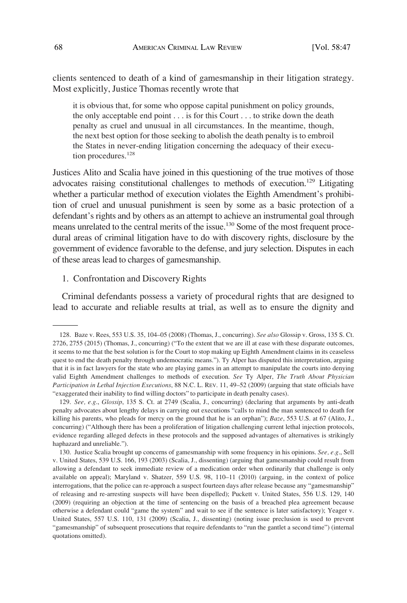<span id="page-21-0"></span>clients sentenced to death of a kind of gamesmanship in their litigation strategy. Most explicitly, Justice Thomas recently wrote that

it is obvious that, for some who oppose capital punishment on policy grounds, the only acceptable end point . . . is for this Court . . . to strike down the death penalty as cruel and unusual in all circumstances. In the meantime, though, the next best option for those seeking to abolish the death penalty is to embroil the States in never-ending litigation concerning the adequacy of their execution procedures.<sup>128</sup>

Justices Alito and Scalia have joined in this questioning of the true motives of those advocates raising constitutional challenges to methods of execution.<sup>129</sup> Litigating whether a particular method of execution violates the Eighth Amendment's prohibition of cruel and unusual punishment is seen by some as a basic protection of a defendant's rights and by others as an attempt to achieve an instrumental goal through means unrelated to the central merits of the issue.130 Some of the most frequent procedural areas of criminal litigation have to do with discovery rights, disclosure by the government of evidence favorable to the defense, and jury selection. Disputes in each of these areas lead to charges of gamesmanship.

#### 1. Confrontation and Discovery Rights

Criminal defendants possess a variety of procedural rights that are designed to lead to accurate and reliable results at trial, as well as to ensure the dignity and

<sup>128.</sup> Baze v. Rees, 553 U.S. 35, 104–05 (2008) (Thomas, J., concurring). *See also* Glossip v. Gross, 135 S. Ct. 2726, 2755 (2015) (Thomas, J., concurring) ("To the extent that we are ill at ease with these disparate outcomes, it seems to me that the best solution is for the Court to stop making up Eighth Amendment claims in its ceaseless quest to end the death penalty through undemocratic means."). Ty Alper has disputed this interpretation, arguing that it is in fact lawyers for the state who are playing games in an attempt to manipulate the courts into denying valid Eighth Amendment challenges to methods of execution. *See* Ty Alper, *The Truth About Physician Participation in Lethal Injection Executions*, 88 N.C. L. REV. 11, 49–52 (2009) (arguing that state officials have "exaggerated their inability to find willing doctors" to participate in death penalty cases).

<sup>129.</sup> *See, e.g*., *Glossip*, 135 S. Ct. at 2749 (Scalia, J., concurring) (declaring that arguments by anti-death penalty advocates about lengthy delays in carrying out executions "calls to mind the man sentenced to death for killing his parents, who pleads for mercy on the ground that he is an orphan"); *Baze*, 553 U.S. at 67 (Alito, J., concurring) ("Although there has been a proliferation of litigation challenging current lethal injection protocols, evidence regarding alleged defects in these protocols and the supposed advantages of alternatives is strikingly haphazard and unreliable.").

<sup>130.</sup> Justice Scalia brought up concerns of gamesmanship with some frequency in his opinions. *See, e.g*., Sell v. United States, 539 U.S. 166, 193 (2003) (Scalia, J., dissenting) (arguing that gamesmanship could result from allowing a defendant to seek immediate review of a medication order when ordinarily that challenge is only available on appeal); Maryland v. Shatzer, 559 U.S. 98, 110–11 (2010) (arguing, in the context of police interrogations, that the police can re-approach a suspect fourteen days after release because any "gamesmanship" of releasing and re-arresting suspects will have been dispelled); Puckett v. United States, 556 U.S. 129, 140 (2009) (requiring an objection at the time of sentencing on the basis of a breached plea agreement because otherwise a defendant could "game the system" and wait to see if the sentence is later satisfactory); Yeager v. United States, 557 U.S. 110, 131 (2009) (Scalia, J., dissenting) (noting issue preclusion is used to prevent "gamesmanship" of subsequent prosecutions that require defendants to "run the gantlet a second time") (internal quotations omitted).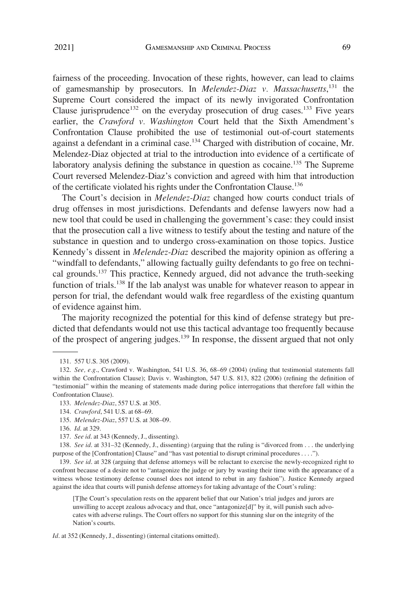fairness of the proceeding. Invocation of these rights, however, can lead to claims of gamesmanship by prosecutors. In *Melendez-Diaz v. Massachusetts*, 131 the Supreme Court considered the impact of its newly invigorated Confrontation Clause jurisprudence<sup>132</sup> on the everyday prosecution of drug cases.<sup>133</sup> Five years earlier, the *Crawford v. Washington* Court held that the Sixth Amendment's Confrontation Clause prohibited the use of testimonial out-of-court statements against a defendant in a criminal case.<sup>134</sup> Charged with distribution of cocaine, Mr. Melendez-Diaz objected at trial to the introduction into evidence of a certificate of laboratory analysis defining the substance in question as cocaine.<sup>135</sup> The Supreme Court reversed Melendez-Diaz's conviction and agreed with him that introduction of the certificate violated his rights under the Confrontation Clause.136

The Court's decision in *Melendez-Diaz* changed how courts conduct trials of drug offenses in most jurisdictions. Defendants and defense lawyers now had a new tool that could be used in challenging the government's case: they could insist that the prosecution call a live witness to testify about the testing and nature of the substance in question and to undergo cross-examination on those topics. Justice Kennedy's dissent in *Melendez-Diaz* described the majority opinion as offering a "windfall to defendants," allowing factually guilty defendants to go free on technical grounds.<sup>137</sup> This practice, Kennedy argued, did not advance the truth-seeking function of trials.<sup>138</sup> If the lab analyst was unable for whatever reason to appear in person for trial, the defendant would walk free regardless of the existing quantum of evidence against him.

The majority recognized the potential for this kind of defense strategy but predicted that defendants would not use this tactical advantage too frequently because of the prospect of angering judges.139 In response, the dissent argued that not only

133. *Melendez-Diaz*, 557 U.S. at 305.

135. *Melendez-Diaz*, 557 U.S. at 308–09.

138. *See id*. at 331–32 (Kennedy, J., dissenting) (arguing that the ruling is "divorced from . . . the underlying purpose of the [Confrontation] Clause" and "has vast potential to disrupt criminal procedures . . . .").

139. *See id*. at 328 (arguing that defense attorneys will be reluctant to exercise the newly-recognized right to confront because of a desire not to "antagonize the judge or jury by wasting their time with the appearance of a witness whose testimony defense counsel does not intend to rebut in any fashion"). Justice Kennedy argued against the idea that courts will punish defense attorneys for taking advantage of the Court's ruling:

[T]he Court's speculation rests on the apparent belief that our Nation's trial judges and jurors are unwilling to accept zealous advocacy and that, once "antagonize[d]" by it, will punish such advocates with adverse rulings. The Court offers no support for this stunning slur on the integrity of the Nation's courts.

*Id*. at 352 (Kennedy, J., dissenting) (internal citations omitted).

<sup>131. 557</sup> U.S. 305 (2009).

<sup>132.</sup> *See, e.g*., Crawford v. Washington, 541 U.S. 36, 68–69 (2004) (ruling that testimonial statements fall within the Confrontation Clause); Davis v. Washington, 547 U.S. 813, 822 (2006) (refining the definition of "testimonial" within the meaning of statements made during police interrogations that therefore fall within the Confrontation Clause).

<sup>134.</sup> *Crawford*, 541 U.S. at 68–69.

<sup>136.</sup> *Id*. at 329.

<sup>137.</sup> *See id*. at 343 (Kennedy, J., dissenting).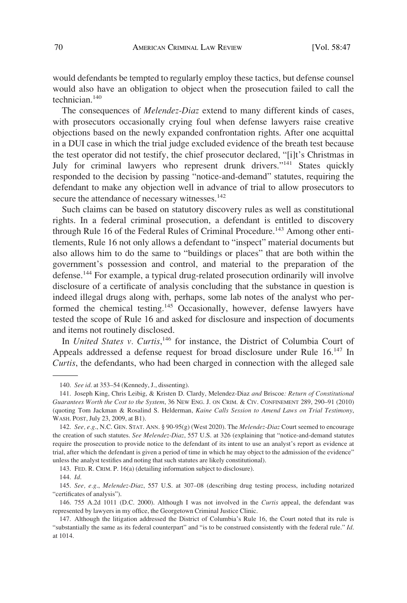would defendants be tempted to regularly employ these tactics, but defense counsel would also have an obligation to object when the prosecution failed to call the technician.140

The consequences of *Melendez-Diaz* extend to many different kinds of cases, with prosecutors occasionally crying foul when defense lawyers raise creative objections based on the newly expanded confrontation rights. After one acquittal in a DUI case in which the trial judge excluded evidence of the breath test because the test operator did not testify, the chief prosecutor declared, "[i]t's Christmas in July for criminal lawyers who represent drunk drivers."<sup>141</sup> States quickly responded to the decision by passing "notice-and-demand" statutes, requiring the defendant to make any objection well in advance of trial to allow prosecutors to secure the attendance of necessary witnesses.<sup>142</sup>

Such claims can be based on statutory discovery rules as well as constitutional rights. In a federal criminal prosecution, a defendant is entitled to discovery through Rule 16 of the Federal Rules of Criminal Procedure.<sup>143</sup> Among other entitlements, Rule 16 not only allows a defendant to "inspect" material documents but also allows him to do the same to "buildings or places" that are both within the government's possession and control, and material to the preparation of the defense.144 For example, a typical drug-related prosecution ordinarily will involve disclosure of a certificate of analysis concluding that the substance in question is indeed illegal drugs along with, perhaps, some lab notes of the analyst who performed the chemical testing.<sup>145</sup> Occasionally, however, defense lawyers have tested the scope of Rule 16 and asked for disclosure and inspection of documents and items not routinely disclosed.

In *United States v. Curtis*,<sup>146</sup> for instance, the District of Columbia Court of Appeals addressed a defense request for broad disclosure under Rule 16.<sup>147</sup> In *Curtis*, the defendants, who had been charged in connection with the alleged sale

143. FED. R. CRIM. P. 16(a) (detailing information subject to disclosure).

<sup>140.</sup> *See id*. at 353–54 (Kennedy, J., dissenting).

<sup>141.</sup> Joseph King, Chris Leibig, & Kristen D. Clardy, Melendez-Diaz *and* Briscoe*: Return of Constitutional Guarantees Worth the Cost to the System*, 36 NEW ENG. J. ON CRIM. & CIV. CONFINEMENT 289, 290–91 (2010) (quoting Tom Jackman & Rosalind S. Helderman, *Kaine Calls Session to Amend Laws on Trial Testimony*, WASH. POST, July 23, 2009, at B1).

<sup>142.</sup> *See, e.g*., N.C. GEN. STAT. ANN. § 90-95(g) (West 2020). The *Melendez-Diaz* Court seemed to encourage the creation of such statutes. *See Melendez-Diaz*, 557 U.S. at 326 (explaining that "notice-and-demand statutes require the prosecution to provide notice to the defendant of its intent to use an analyst's report as evidence at trial, after which the defendant is given a period of time in which he may object to the admission of the evidence" unless the analyst testifies and noting that such statutes are likely constitutional).

<sup>144.</sup> *Id*.

<sup>145.</sup> *See, e.g*., *Melendez-Diaz*, 557 U.S. at 307–08 (describing drug testing process, including notarized "certificates of analysis").

<sup>146. 755</sup> A.2d 1011 (D.C. 2000). Although I was not involved in the *Curtis* appeal, the defendant was represented by lawyers in my office, the Georgetown Criminal Justice Clinic.

<sup>147.</sup> Although the litigation addressed the District of Columbia's Rule 16, the Court noted that its rule is "substantially the same as its federal counterpart" and "is to be construed consistently with the federal rule." *Id*. at 1014.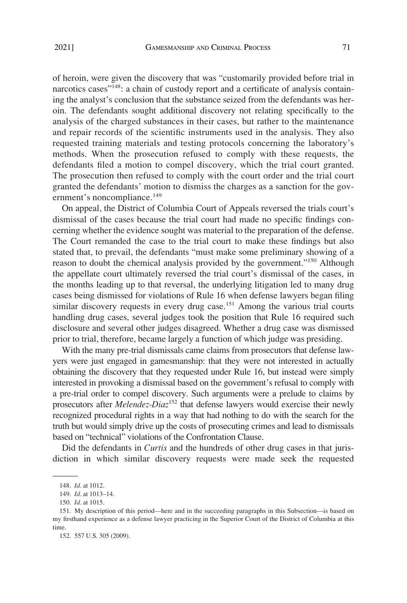of heroin, were given the discovery that was "customarily provided before trial in narcotics cases"<sup>148</sup>: a chain of custody report and a certificate of analysis containing the analyst's conclusion that the substance seized from the defendants was heroin. The defendants sought additional discovery not relating specifically to the analysis of the charged substances in their cases, but rather to the maintenance and repair records of the scientific instruments used in the analysis. They also requested training materials and testing protocols concerning the laboratory's methods. When the prosecution refused to comply with these requests, the defendants filed a motion to compel discovery, which the trial court granted. The prosecution then refused to comply with the court order and the trial court granted the defendants' motion to dismiss the charges as a sanction for the government's noncompliance.<sup>149</sup>

On appeal, the District of Columbia Court of Appeals reversed the trials court's dismissal of the cases because the trial court had made no specific findings concerning whether the evidence sought was material to the preparation of the defense. The Court remanded the case to the trial court to make these findings but also stated that, to prevail, the defendants "must make some preliminary showing of a reason to doubt the chemical analysis provided by the government."<sup>150</sup> Although the appellate court ultimately reversed the trial court's dismissal of the cases, in the months leading up to that reversal, the underlying litigation led to many drug cases being dismissed for violations of Rule 16 when defense lawyers began filing similar discovery requests in every drug case.<sup>151</sup> Among the various trial courts handling drug cases, several judges took the position that Rule 16 required such disclosure and several other judges disagreed. Whether a drug case was dismissed prior to trial, therefore, became largely a function of which judge was presiding.

With the many pre-trial dismissals came claims from prosecutors that defense lawyers were just engaged in gamesmanship: that they were not interested in actually obtaining the discovery that they requested under Rule 16, but instead were simply interested in provoking a dismissal based on the government's refusal to comply with a pre-trial order to compel discovery. Such arguments were a prelude to claims by prosecutors after *Melendez-Diaz*152 that defense lawyers would exercise their newly recognized procedural rights in a way that had nothing to do with the search for the truth but would simply drive up the costs of prosecuting crimes and lead to dismissals based on "technical" violations of the Confrontation Clause.

Did the defendants in *Curtis* and the hundreds of other drug cases in that jurisdiction in which similar discovery requests were made seek the requested

<sup>148.</sup> *Id*. at 1012.

<sup>149.</sup> *Id*. at 1013–14.

<sup>150.</sup> *Id*. at 1015.

<sup>151.</sup> My description of this period—here and in the succeeding paragraphs in this Subsection—is based on my firsthand experience as a defense lawyer practicing in the Superior Court of the District of Columbia at this time.

<sup>152. 557</sup> U.S. 305 (2009).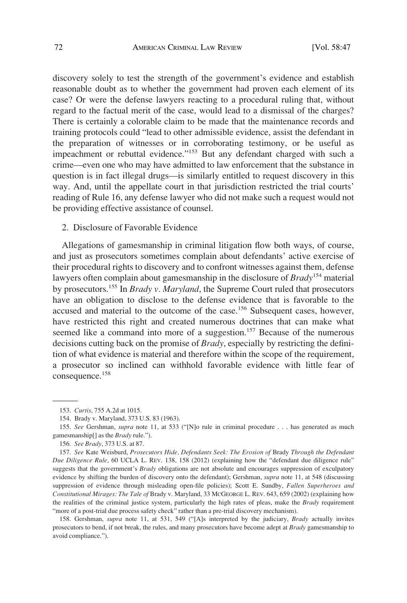<span id="page-25-0"></span>discovery solely to test the strength of the government's evidence and establish reasonable doubt as to whether the government had proven each element of its case? Or were the defense lawyers reacting to a procedural ruling that, without regard to the factual merit of the case, would lead to a dismissal of the charges? There is certainly a colorable claim to be made that the maintenance records and training protocols could "lead to other admissible evidence, assist the defendant in the preparation of witnesses or in corroborating testimony, or be useful as impeachment or rebuttal evidence."<sup>153</sup> But any defendant charged with such a crime—even one who may have admitted to law enforcement that the substance in question is in fact illegal drugs—is similarly entitled to request discovery in this way. And, until the appellate court in that jurisdiction restricted the trial courts' reading of Rule 16, any defense lawyer who did not make such a request would not be providing effective assistance of counsel.

2. Disclosure of Favorable Evidence

Allegations of gamesmanship in criminal litigation flow both ways, of course, and just as prosecutors sometimes complain about defendants' active exercise of their procedural rights to discovery and to confront witnesses against them, defense lawyers often complain about gamesmanship in the disclosure of *Brady*154 material by prosecutors.155 In *Brady v. Maryland*, the Supreme Court ruled that prosecutors have an obligation to disclose to the defense evidence that is favorable to the accused and material to the outcome of the case.<sup>156</sup> Subsequent cases, however, have restricted this right and created numerous doctrines that can make what seemed like a command into more of a suggestion.<sup>157</sup> Because of the numerous decisions cutting back on the promise of *Brady*, especially by restricting the definition of what evidence is material and therefore within the scope of the requirement, a prosecutor so inclined can withhold favorable evidence with little fear of consequence.<sup>158</sup>

158. Gershman, *supra* note 11, at 531, 549 ("[A]s interpreted by the judiciary, *Brady* actually invites prosecutors to bend, if not break, the rules, and many prosecutors have become adept at *Brady* gamesmanship to avoid compliance.").

<sup>153.</sup> *Curtis*, 755 A.2d at 1015.

<sup>154.</sup> Brady v. Maryland, 373 U.S. 83 (1963).

<sup>155.</sup> *See* Gershman, *supra* note 11, at 533 ("[N]o rule in criminal procedure . . . has generated as much gamesmanship[] as the *Brady* rule.").

<sup>156.</sup> *See Brady*, 373 U.S. at 87.

<sup>157.</sup> *See* Kate Weisburd, *Prosecutors Hide, Defendants Seek: The Erosion of* Brady *Through the Defendant Due Diligence Rule*, 60 UCLA L. REV. 138, 158 (2012) (explaining how the "defendant due diligence rule" suggests that the government's *Brady* obligations are not absolute and encourages suppression of exculpatory evidence by shifting the burden of discovery onto the defendant); Gershman, *supra* note 11, at 548 (discussing suppression of evidence through misleading open-file policies); Scott E. Sundby, *Fallen Superheroes and Constitutional Mirages: The Tale of* Brady v. Maryland, 33 MCGEORGE L. REV. 643, 659 (2002) (explaining how the realities of the criminal justice system, particularly the high rates of pleas, make the *Brady* requirement "more of a post-trial due process safety check" rather than a pre-trial discovery mechanism).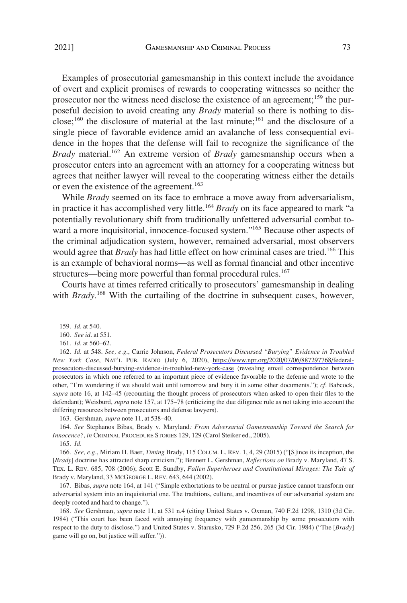Examples of prosecutorial gamesmanship in this context include the avoidance of overt and explicit promises of rewards to cooperating witnesses so neither the prosecutor nor the witness need disclose the existence of an agreement;<sup>159</sup> the purposeful decision to avoid creating any *Brady* material so there is nothing to disclose;<sup>160</sup> the disclosure of material at the last minute;<sup>161</sup> and the disclosure of a single piece of favorable evidence amid an avalanche of less consequential evidence in the hopes that the defense will fail to recognize the significance of the Brady material.<sup>162</sup> An extreme version of *Brady* gamesmanship occurs when a prosecutor enters into an agreement with an attorney for a cooperating witness but agrees that neither lawyer will reveal to the cooperating witness either the details or even the existence of the agreement.<sup>163</sup>

While *Brady* seemed on its face to embrace a move away from adversarialism, in practice it has accomplished very little.164 *Brady* on its face appeared to mark "a potentially revolutionary shift from traditionally unfettered adversarial combat toward a more inquisitorial, innocence-focused system."<sup>165</sup> Because other aspects of the criminal adjudication system, however, remained adversarial, most observers would agree that *Brady* has had little effect on how criminal cases are tried.<sup>166</sup> This is an example of behavioral norms—as well as formal financial and other incentive structures—being more powerful than formal procedural rules.<sup>167</sup>

Courts have at times referred critically to prosecutors' gamesmanship in dealing with *Brady*.<sup>168</sup> With the curtailing of the doctrine in subsequent cases, however,

163. Gershman, *supra* note 11, at 538–40.

164. *See* Stephanos Bibas, Brady v. Maryland*: From Adversarial Gamesmanship Toward the Search for Innocence?*, *in* CRIMINAL PROCEDURE STORIES 129, 129 (Carol Steiker ed., 2005).

165. *Id*.

166. *See, e.g*., Miriam H. Baer, *Timing* Brady, 115 COLUM. L. REV. 1, 4, 29 (2015) ("[S]ince its inception, the [*Brady*] doctrine has attracted sharp criticism."); Bennett L. Gershman, *Reflections on* Brady v. Maryland, 47 S. TEX. L. REV. 685, 708 (2006); Scott E. Sundby, *Fallen Superheroes and Constitutional Mirages: The Tale of*  Brady v. Maryland, 33 MCGEORGE L. REV. 643, 644 (2002).

167. Bibas, *supra* note 164, at 141 ("Simple exhortations to be neutral or pursue justice cannot transform our adversarial system into an inquisitorial one. The traditions, culture, and incentives of our adversarial system are deeply rooted and hard to change.").

168. *See* Gershman, *supra* note 11, at 531 n.4 (citing United States v. Oxman, 740 F.2d 1298, 1310 (3d Cir. 1984) ("This court has been faced with annoying frequency with gamesmanship by some prosecutors with respect to the duty to disclose.") and United States v. Starusko, 729 F.2d 256, 265 (3d Cir. 1984) ("The [*Brady*] game will go on, but justice will suffer.")).

<sup>159.</sup> *Id*. at 540.

<sup>160.</sup> *See id*. at 551.

<sup>161.</sup> *Id*. at 560–62.

*Id*. at 548. *See, e.g*., Carrie Johnson, *Federal Prosecutors Discussed "Burying" Evidence in Troubled*  162. *New York Case*, NAT'L PUB. RADIO (July 6, 2020), [https://www.npr.org/2020/07/06/887297768/federal](https://www.npr.org/2020/07/06/887297768/federal-prosecutors-discussed-burying-evidence-in-troubled-new-york-case)[prosecutors-discussed-burying-evidence-in-troubled-new-york-case](https://www.npr.org/2020/07/06/887297768/federal-prosecutors-discussed-burying-evidence-in-troubled-new-york-case) (revealing email correspondence between prosecutors in which one referred to an important piece of evidence favorable to the defense and wrote to the other, "I'm wondering if we should wait until tomorrow and bury it in some other documents."); *cf*. Babcock, *supra* note 16, at 142–45 (recounting the thought process of prosecutors when asked to open their files to the defendant); Weisburd, *supra* note 157, at 175–78 (criticizing the due diligence rule as not taking into account the differing resources between prosecutors and defense lawyers).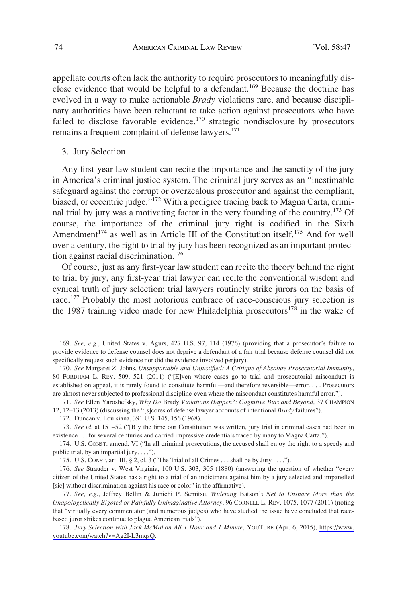<span id="page-27-0"></span>appellate courts often lack the authority to require prosecutors to meaningfully disclose evidence that would be helpful to a defendant.<sup>169</sup> Because the doctrine has evolved in a way to make actionable *Brady* violations rare, and because disciplinary authorities have been reluctant to take action against prosecutors who have failed to disclose favorable evidence,<sup>170</sup> strategic nondisclosure by prosecutors remains a frequent complaint of defense lawyers.<sup>171</sup>

#### 3. Jury Selection

Any first-year law student can recite the importance and the sanctity of the jury in America's criminal justice system. The criminal jury serves as an "inestimable safeguard against the corrupt or overzealous prosecutor and against the compliant, biased, or eccentric judge."<sup>172</sup> With a pedigree tracing back to Magna Carta, criminal trial by jury was a motivating factor in the very founding of the country.<sup>173</sup> Of course, the importance of the criminal jury right is codified in the Sixth Amendment<sup>174</sup> as well as in Article III of the Constitution itself.<sup>175</sup> And for well over a century, the right to trial by jury has been recognized as an important protection against racial discrimination.<sup>176</sup>

Of course, just as any first-year law student can recite the theory behind the right to trial by jury, any first-year trial lawyer can recite the conventional wisdom and cynical truth of jury selection: trial lawyers routinely strike jurors on the basis of race.<sup>177</sup> Probably the most notorious embrace of race-conscious jury selection is the 1987 training video made for new Philadelphia prosecutors $178$  in the wake of

<sup>169.</sup> *See, e.g*., United States v. Agurs, 427 U.S. 97, 114 (1976) (providing that a prosecutor's failure to provide evidence to defense counsel does not deprive a defendant of a fair trial because defense counsel did not specifically request such evidence nor did the evidence involved perjury).

<sup>170.</sup> *See* Margaret Z. Johns, *Unsupportable and Unjustified: A Critique of Absolute Prosecutorial Immunity*, 80 FORDHAM L. REV. 509, 521 (2011) ("[E]ven where cases go to trial and prosecutorial misconduct is established on appeal, it is rarely found to constitute harmful—and therefore reversible—error. . . . Prosecutors are almost never subjected to professional discipline-even where the misconduct constitutes harmful error.").

<sup>171.</sup> *See* Ellen Yaroshefsky, *Why Do* Brady *Violations Happen?: Cognitive Bias and Beyond*, 37 CHAMPION 12, 12–13 (2013) (discussing the "[s]cores of defense lawyer accounts of intentional *Brady* failures").

<sup>172.</sup> Duncan v. Louisiana, 391 U.S. 145, 156 (1968).

<sup>173.</sup> *See id*. at 151–52 ("[B]y the time our Constitution was written, jury trial in criminal cases had been in existence . . . for several centuries and carried impressive credentials traced by many to Magna Carta.").

<sup>174.</sup> U.S. CONST. amend. VI ("In all criminal prosecutions, the accused shall enjoy the right to a speedy and public trial, by an impartial jury.  $\dots$ ").

<sup>175.</sup> U.S. CONST. art. III, § 2, cl. 3 ("The Trial of all Crimes . . . shall be by Jury . . . .").

<sup>176.</sup> *See* Strauder v. West Virginia, 100 U.S. 303, 305 (1880) (answering the question of whether "every citizen of the United States has a right to a trial of an indictment against him by a jury selected and impanelled [sic] without discrimination against his race or color" in the affirmative).

<sup>177.</sup> *See, e.g*., Jeffrey Bellin & Junichi P. Semitsu, *Widening* Batson'*s Net to Ensnare More than the Unapologetically Bigoted or Painfully Unimaginative Attorney*, 96 CORNELL L. REV. 1075, 1077 (2011) (noting that "virtually every commentator (and numerous judges) who have studied the issue have concluded that racebased juror strikes continue to plague American trials").

<sup>178.</sup> Jury Selection with Jack McMahon All 1 Hour and 1 Minute, YOUTUBE (Apr. 6, 2015), https://www. [youtube.com/watch?v=Ag2I-L3mqsQ.](https://www.youtube.com/watch?v=Ag2I-L3mqsQ)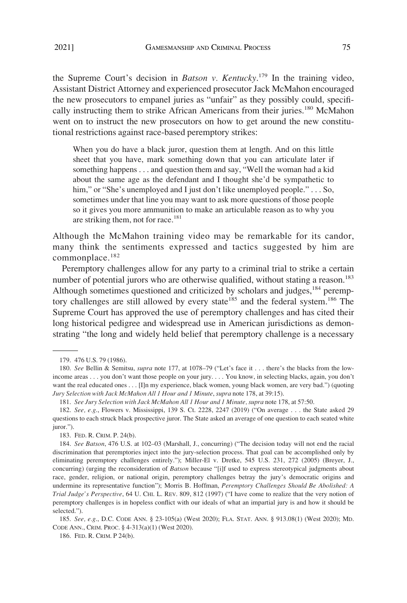the Supreme Court's decision in *Batson v. Kentucky*. 179 In the training video, Assistant District Attorney and experienced prosecutor Jack McMahon encouraged the new prosecutors to empanel juries as "unfair" as they possibly could, specifically instructing them to strike African Americans from their juries.<sup>180</sup> McMahon went on to instruct the new prosecutors on how to get around the new constitutional restrictions against race-based peremptory strikes:

When you do have a black juror, question them at length. And on this little sheet that you have, mark something down that you can articulate later if something happens . . . and question them and say, "Well the woman had a kid about the same age as the defendant and I thought she'd be sympathetic to him," or "She's unemployed and I just don't like unemployed people." . . . So, sometimes under that line you may want to ask more questions of those people so it gives you more ammunition to make an articulable reason as to why you are striking them, not for race.<sup>181</sup>

Although the McMahon training video may be remarkable for its candor, many think the sentiments expressed and tactics suggested by him are commonplace.<sup>182</sup>

Peremptory challenges allow for any party to a criminal trial to strike a certain number of potential jurors who are otherwise qualified, without stating a reason.<sup>183</sup> Although sometimes questioned and criticized by scholars and judges,<sup>184</sup> peremptory challenges are still allowed by every state<sup>185</sup> and the federal system.<sup>186</sup> The Supreme Court has approved the use of peremptory challenges and has cited their long historical pedigree and widespread use in American jurisdictions as demonstrating "the long and widely held belief that peremptory challenge is a necessary

<sup>179. 476</sup> U.S. 79 (1986).

<sup>180.</sup> *See* Bellin & Semitsu, *supra* note 177, at 1078–79 ("Let's face it . . . there's the blacks from the lowincome areas . . . you don't want those people on your jury. . . . You know, in selecting blacks, again, you don't want the real educated ones . . . [I]n my experience, black women, young black women, are very bad.") (quoting *Jury Selection with Jack McMahon All 1 Hour and 1 Minute*, *supra* note 178, at 39:15).

<sup>181.</sup> *See Jury Selection with Jack McMahon All 1 Hour and 1 Minute, supra* note 178, at 57:50.

<sup>182.</sup> *See, e.g*., Flowers v. Mississippi, 139 S. Ct. 2228, 2247 (2019) ("On average . . . the State asked 29 questions to each struck black prospective juror. The State asked an average of one question to each seated white iuror.").

<sup>183.</sup> FED. R. CRIM. P. 24(b).

<sup>184.</sup> *See Batson*, 476 U.S. at 102–03 (Marshall, J., concurring) ("The decision today will not end the racial discrimination that peremptories inject into the jury-selection process. That goal can be accomplished only by eliminating peremptory challenges entirely."); Miller-El v. Dretke, 545 U.S. 231, 272 (2005) (Breyer, J., concurring) (urging the reconsideration of *Batson* because "[i]f used to express stereotypical judgments about race, gender, religion, or national origin, peremptory challenges betray the jury's democratic origins and undermine its representative function"); Morris B. Hoffman, *Peremptory Challenges Should Be Abolished: A Trial Judge's Perspective*, 64 U. CHI. L. REV. 809, 812 (1997) ("I have come to realize that the very notion of peremptory challenges is in hopeless conflict with our ideals of what an impartial jury is and how it should be selected.").

<sup>185.</sup> *See, e.g*., D.C. CODE ANN. § 23-105(a) (West 2020); FLA. STAT. ANN. § 913.08(1) (West 2020); MD. CODE ANN., CRIM. PROC. § 4-313(a)(1) (West 2020).

<sup>186.</sup> FED. R. CRIM. P 24(b).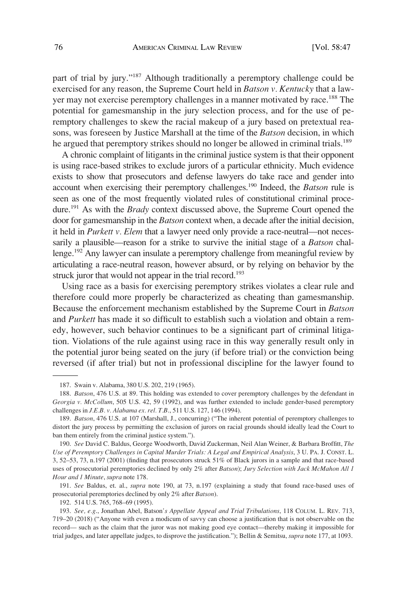part of trial by jury."187 Although traditionally a peremptory challenge could be exercised for any reason, the Supreme Court held in *Batson v. Kentucky* that a lawyer may not exercise peremptory challenges in a manner motivated by race.<sup>188</sup> The potential for gamesmanship in the jury selection process, and for the use of peremptory challenges to skew the racial makeup of a jury based on pretextual reasons, was foreseen by Justice Marshall at the time of the *Batson* decision, in which he argued that peremptory strikes should no longer be allowed in criminal trials.<sup>189</sup>

A chronic complaint of litigants in the criminal justice system is that their opponent is using race-based strikes to exclude jurors of a particular ethnicity. Much evidence exists to show that prosecutors and defense lawyers do take race and gender into account when exercising their peremptory challenges.190 Indeed, the *Batson* rule is seen as one of the most frequently violated rules of constitutional criminal procedure.191 As with the *Brady* context discussed above, the Supreme Court opened the door for gamesmanship in the *Batson* context when, a decade after the initial decision, it held in *Purkett v. Elem* that a lawyer need only provide a race-neutral—not necessarily a plausible—reason for a strike to survive the initial stage of a *Batson* challenge.<sup>192</sup> Any lawyer can insulate a peremptory challenge from meaningful review by articulating a race-neutral reason, however absurd, or by relying on behavior by the struck juror that would not appear in the trial record.<sup>193</sup>

Using race as a basis for exercising peremptory strikes violates a clear rule and therefore could more properly be characterized as cheating than gamesmanship. Because the enforcement mechanism established by the Supreme Court in *Batson*  and *Purkett* has made it so difficult to establish such a violation and obtain a remedy, however, such behavior continues to be a significant part of criminal litigation. Violations of the rule against using race in this way generally result only in the potential juror being seated on the jury (if before trial) or the conviction being reversed (if after trial) but not in professional discipline for the lawyer found to

191. *See* Baldus, et. al., *supra* note 190, at 73, n.197 (explaining a study that found race-based uses of prosecutorial peremptories declined by only 2% after *Batson*).

192. 514 U.S. 765, 768–69 (1995).

<sup>187.</sup> Swain v. Alabama, 380 U.S. 202, 219 (1965).

<sup>188.</sup> *Batson*, 476 U.S. at 89. This holding was extended to cover peremptory challenges by the defendant in *Georgia v. McCollum*, 505 U.S. 42, 59 (1992), and was further extended to include gender-based peremptory challenges in *J.E.B. v. Alabama ex. rel. T.B*., 511 U.S. 127, 146 (1994).

<sup>189.</sup> *Batson*, 476 U.S. at 107 (Marshall, J., concurring) ("The inherent potential of peremptory challenges to distort the jury process by permitting the exclusion of jurors on racial grounds should ideally lead the Court to ban them entirely from the criminal justice system.").

<sup>190.</sup> *See* David C. Baldus, George Woodworth, David Zuckerman, Neil Alan Weiner, & Barbara Broffitt, *The Use of Peremptory Challenges in Capital Murder Trials: A Legal and Empirical Analysis*, 3 U. PA. J. CONST. L. 3, 52–53, 73, n.197 (2001) (finding that prosecutors struck 51% of Black jurors in a sample and that race-based uses of prosecutorial peremptories declined by only 2% after *Batson*); *Jury Selection with Jack McMahon All 1 Hour and 1 Minute*, *supra* note 178.

<sup>193.</sup> *See, e.g*., Jonathan Abel, Batson*'s Appellate Appeal and Trial Tribulations*, 118 COLUM. L. REV. 713, 719–20 (2018) ("Anyone with even a modicum of savvy can choose a justification that is not observable on the record— such as the claim that the juror was not making good eye contact—thereby making it impossible for trial judges, and later appellate judges, to disprove the justification."); Bellin & Semitsu, *supra* note 177, at 1093.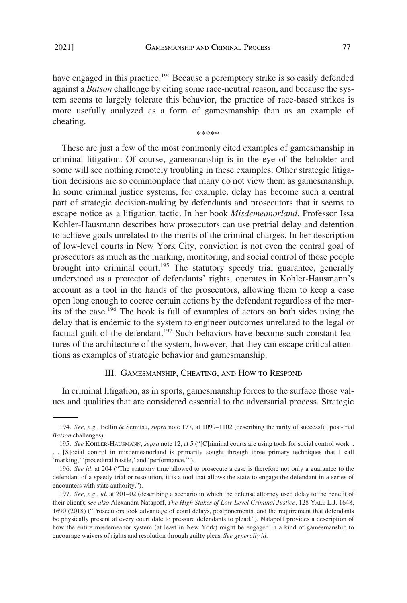<span id="page-30-0"></span>have engaged in this practice.<sup>194</sup> Because a peremptory strike is so easily defended against a *Batson* challenge by citing some race-neutral reason, and because the system seems to largely tolerate this behavior, the practice of race-based strikes is more usefully analyzed as a form of gamesmanship than as an example of cheating.

\*\*\*\*\*

These are just a few of the most commonly cited examples of gamesmanship in criminal litigation. Of course, gamesmanship is in the eye of the beholder and some will see nothing remotely troubling in these examples. Other strategic litigation decisions are so commonplace that many do not view them as gamesmanship. In some criminal justice systems, for example, delay has become such a central part of strategic decision-making by defendants and prosecutors that it seems to escape notice as a litigation tactic. In her book *Misdemeanorland*, Professor Issa Kohler-Hausmann describes how prosecutors can use pretrial delay and detention to achieve goals unrelated to the merits of the criminal charges. In her description of low-level courts in New York City, conviction is not even the central goal of prosecutors as much as the marking, monitoring, and social control of those people brought into criminal court.<sup>195</sup> The statutory speedy trial guarantee, generally understood as a protector of defendants' rights, operates in Kohler-Hausmann's account as a tool in the hands of the prosecutors, allowing them to keep a case open long enough to coerce certain actions by the defendant regardless of the merits of the case.196 The book is full of examples of actors on both sides using the delay that is endemic to the system to engineer outcomes unrelated to the legal or factual guilt of the defendant.<sup>197</sup> Such behaviors have become such constant features of the architecture of the system, however, that they can escape critical attentions as examples of strategic behavior and gamesmanship.

#### III. GAMESMANSHIP, CHEATING, AND HOW TO RESPOND

In criminal litigation, as in sports, gamesmanship forces to the surface those values and qualities that are considered essential to the adversarial process. Strategic

<sup>194.</sup> *See, e.g*., Bellin & Semitsu, *supra* note 177, at 1099–1102 (describing the rarity of successful post-trial *Batson* challenges).

<sup>195.</sup> *See* KOHLER-HAUSMANN, *supra* note 12, at 5 ("[C]riminal courts are using tools for social control work. . . . [S]ocial control in misdemeanorland is primarily sought through three primary techniques that I call

<sup>&#</sup>x27;marking,' 'procedural hassle,' and 'performance.'").

<sup>196.</sup> *See id*. at 204 ("The statutory time allowed to prosecute a case is therefore not only a guarantee to the defendant of a speedy trial or resolution, it is a tool that allows the state to engage the defendant in a series of encounters with state authority.").

<sup>197.</sup> *See, e.g*., *id*. at 201–02 (describing a scenario in which the defense attorney used delay to the benefit of their client); *see also* Alexandra Natapoff, *The High Stakes of Low-Level Criminal Justice*, 128 YALE L.J. 1648, 1690 (2018) ("Prosecutors took advantage of court delays, postponements, and the requirement that defendants be physically present at every court date to pressure defendants to plead."). Natapoff provides a description of how the entire misdemeanor system (at least in New York) might be engaged in a kind of gamesmanship to encourage waivers of rights and resolution through guilty pleas. *See generally id*.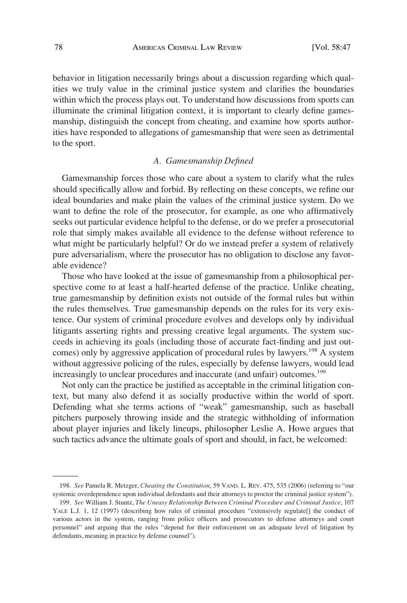<span id="page-31-0"></span>behavior in litigation necessarily brings about a discussion regarding which qualities we truly value in the criminal justice system and clarifies the boundaries within which the process plays out. To understand how discussions from sports can illuminate the criminal litigation context, it is important to clearly define gamesmanship, distinguish the concept from cheating, and examine how sports authorities have responded to allegations of gamesmanship that were seen as detrimental to the sport.

#### *A. Gamesmanship Defined*

Gamesmanship forces those who care about a system to clarify what the rules should specifically allow and forbid. By reflecting on these concepts, we refine our ideal boundaries and make plain the values of the criminal justice system. Do we want to define the role of the prosecutor, for example, as one who affirmatively seeks out particular evidence helpful to the defense, or do we prefer a prosecutorial role that simply makes available all evidence to the defense without reference to what might be particularly helpful? Or do we instead prefer a system of relatively pure adversarialism, where the prosecutor has no obligation to disclose any favorable evidence?

Those who have looked at the issue of gamesmanship from a philosophical perspective come to at least a half-hearted defense of the practice. Unlike cheating, true gamesmanship by definition exists not outside of the formal rules but within the rules themselves. True gamesmanship depends on the rules for its very existence. Our system of criminal procedure evolves and develops only by individual litigants asserting rights and pressing creative legal arguments. The system succeeds in achieving its goals (including those of accurate fact-finding and just outcomes) only by aggressive application of procedural rules by lawyers.<sup>198</sup> A system without aggressive policing of the rules, especially by defense lawyers, would lead increasingly to unclear procedures and inaccurate (and unfair) outcomes.<sup>199</sup>

Not only can the practice be justified as acceptable in the criminal litigation context, but many also defend it as socially productive within the world of sport. Defending what she terms actions of "weak" gamesmanship, such as baseball pitchers purposely throwing inside and the strategic withholding of information about player injuries and likely lineups, philosopher Leslie A. Howe argues that such tactics advance the ultimate goals of sport and should, in fact, be welcomed:

<sup>198.</sup> *See* Pamela R. Metzger, *Cheating the Constitution*, 59 VAND. L. REV. 475, 535 (2006) (referring to "our systemic overdependence upon individual defendants and their attorneys to proctor the criminal justice system").

<sup>199.</sup> *See* William J. Stuntz, *The Uneasy Relationship Between Criminal Procedure and Criminal Justice*, 107 YALE L.J. 1, 12 (1997) (describing how rules of criminal procedure "extensively regulate[] the conduct of various actors in the system, ranging from police officers and prosecutors to defense attorneys and court personnel" and arguing that the rules "depend for their enforcement on an adequate level of litigation by defendants, meaning in practice by defense counsel").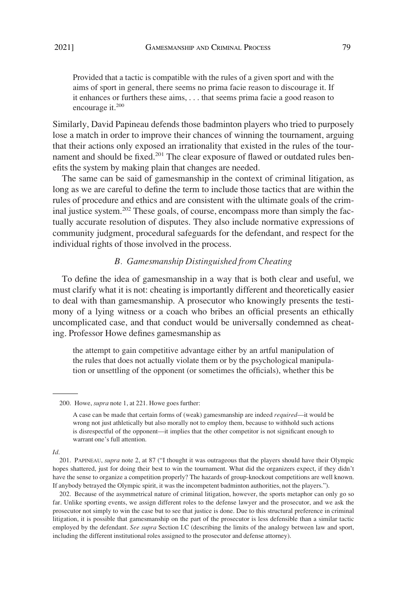<span id="page-32-0"></span>Provided that a tactic is compatible with the rules of a given sport and with the aims of sport in general, there seems no prima facie reason to discourage it. If it enhances or furthers these aims, . . . that seems prima facie a good reason to encourage it.<sup>200</sup>

Similarly, David Papineau defends those badminton players who tried to purposely lose a match in order to improve their chances of winning the tournament, arguing that their actions only exposed an irrationality that existed in the rules of the tournament and should be fixed.<sup>201</sup> The clear exposure of flawed or outdated rules benefits the system by making plain that changes are needed.

The same can be said of gamesmanship in the context of criminal litigation, as long as we are careful to define the term to include those tactics that are within the rules of procedure and ethics and are consistent with the ultimate goals of the criminal justice system.<sup>202</sup> These goals, of course, encompass more than simply the factually accurate resolution of disputes. They also include normative expressions of community judgment, procedural safeguards for the defendant, and respect for the individual rights of those involved in the process.

## *B. Gamesmanship Distinguished from Cheating*

To define the idea of gamesmanship in a way that is both clear and useful, we must clarify what it is not: cheating is importantly different and theoretically easier to deal with than gamesmanship. A prosecutor who knowingly presents the testimony of a lying witness or a coach who bribes an official presents an ethically uncomplicated case, and that conduct would be universally condemned as cheating. Professor Howe defines gamesmanship as

the attempt to gain competitive advantage either by an artful manipulation of the rules that does not actually violate them or by the psychological manipulation or unsettling of the opponent (or sometimes the officials), whether this be

*Id*.

<sup>200.</sup> Howe, *supra* note 1, at 221. Howe goes further:

A case can be made that certain forms of (weak) gamesmanship are indeed *required*—it would be wrong not just athletically but also morally not to employ them, because to withhold such actions is disrespectful of the opponent—it implies that the other competitor is not significant enough to warrant one's full attention.

<sup>201.</sup> PAPINEAU, *supra* note 2, at 87 ("I thought it was outrageous that the players should have their Olympic hopes shattered, just for doing their best to win the tournament. What did the organizers expect, if they didn't have the sense to organize a competition properly? The hazards of group-knockout competitions are well known. If anybody betrayed the Olympic spirit, it was the incompetent badminton authorities, not the players.").

<sup>202.</sup> Because of the asymmetrical nature of criminal litigation, however, the sports metaphor can only go so far. Unlike sporting events, we assign different roles to the defense lawyer and the prosecutor, and we ask the prosecutor not simply to win the case but to see that justice is done. Due to this structural preference in criminal litigation, it is possible that gamesmanship on the part of the prosecutor is less defensible than a similar tactic employed by the defendant. *See supra* Section I.C (describing the limits of the analogy between law and sport, including the different institutional roles assigned to the prosecutor and defense attorney).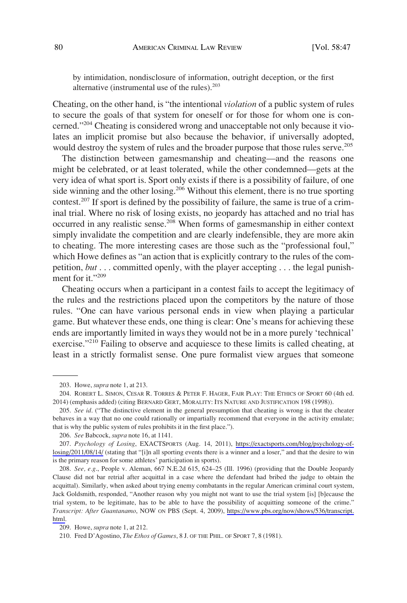by intimidation, nondisclosure of information, outright deception, or the first alternative (instrumental use of the rules). $203$ 

Cheating, on the other hand, is "the intentional *violation* of a public system of rules to secure the goals of that system for oneself or for those for whom one is concerned."204 Cheating is considered wrong and unacceptable not only because it violates an implicit promise but also because the behavior, if universally adopted, would destroy the system of rules and the broader purpose that those rules serve.<sup>205</sup>

The distinction between gamesmanship and cheating—and the reasons one might be celebrated, or at least tolerated, while the other condemned—gets at the very idea of what sport is. Sport only exists if there is a possibility of failure, of one side winning and the other losing.<sup>206</sup> Without this element, there is no true sporting contest.<sup>207</sup> If sport is defined by the possibility of failure, the same is true of a criminal trial. Where no risk of losing exists, no jeopardy has attached and no trial has occurred in any realistic sense.<sup>208</sup> When forms of gamesmanship in either context simply invalidate the competition and are clearly indefensible, they are more akin to cheating. The more interesting cases are those such as the "professional foul," which Howe defines as "an action that is explicitly contrary to the rules of the competition, *but* . . . committed openly, with the player accepting . . . the legal punishment for it."209

Cheating occurs when a participant in a contest fails to accept the legitimacy of the rules and the restrictions placed upon the competitors by the nature of those rules. "One can have various personal ends in view when playing a particular game. But whatever these ends, one thing is clear: One's means for achieving these ends are importantly limited in ways they would not be in a more purely 'technical' exercise."<sup>210</sup> Failing to observe and acquiesce to these limits is called cheating, at least in a strictly formalist sense. One pure formalist view argues that someone

<sup>203.</sup> Howe, *supra* note 1, at 213.

<sup>204.</sup> ROBERT L. SIMON, CESAR R. TORRES & PETER F. HAGER, FAIR PLAY: THE ETHICS OF SPORT 60 (4th ed. 2014) (emphasis added) (citing BERNARD GERT, MORALITY: ITS NATURE AND JUSTIFICATION 198 (1998)).

<sup>205.</sup> *See id*. ("The distinctive element in the general presumption that cheating is wrong is that the cheater behaves in a way that no one could rationally or impartially recommend that everyone in the activity emulate; that is why the public system of rules prohibits it in the first place.").

<sup>206.</sup> *See* Babcock, *supra* note 16, at 1141.

*Psychology of Losing*, EXACTSPORTS (Aug. 14, 2011), [https://exactsports.com/blog/psychology-of-](https://exactsports.com/blog/psychology-of-losing/2011/08/14/)207. [losing/2011/08/14/](https://exactsports.com/blog/psychology-of-losing/2011/08/14/) (stating that "[i]n all sporting events there is a winner and a loser," and that the desire to win is the primary reason for some athletes' participation in sports).

*See, e.g*., People v. Aleman, 667 N.E.2d 615, 624–25 (Ill. 1996) (providing that the Double Jeopardy 208. Clause did not bar retrial after acquittal in a case where the defendant had bribed the judge to obtain the acquittal). Similarly, when asked about trying enemy combatants in the regular American criminal court system, Jack Goldsmith, responded, "Another reason why you might not want to use the trial system [is] [b]ecause the trial system, to be legitimate, has to be able to have the possibility of acquitting someone of the crime." *Transcript: After Guantanamo*, NOW ON PBS (Sept. 4, 2009), [https://www.pbs.org/now/shows/536/transcript.](https://www.pbs.org/now/shows/536/transcript.html) [html.](https://www.pbs.org/now/shows/536/transcript.html)

<sup>209.</sup> Howe, *supra* note 1, at 212.

<sup>210.</sup> Fred D'Agostino, *The Ethos of Games*, 8 J. OF THE PHIL. OF SPORT 7, 8 (1981).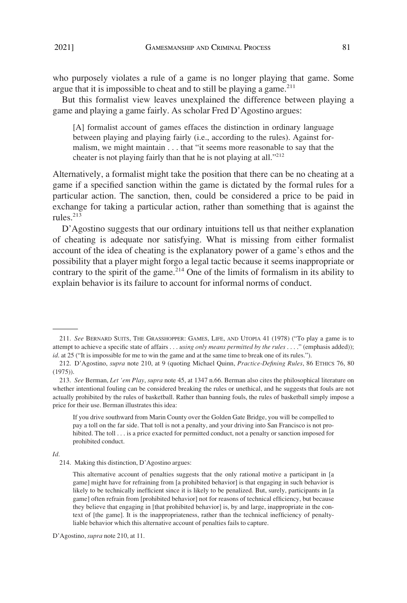who purposely violates a rule of a game is no longer playing that game. Some argue that it is impossible to cheat and to still be playing a game. $211$ 

But this formalist view leaves unexplained the difference between playing a game and playing a game fairly. As scholar Fred D'Agostino argues:

[A] formalist account of games effaces the distinction in ordinary language between playing and playing fairly (i.e., according to the rules). Against formalism, we might maintain . . . that "it seems more reasonable to say that the cheater is not playing fairly than that he is not playing at all."<sup>212</sup>

Alternatively, a formalist might take the position that there can be no cheating at a game if a specified sanction within the game is dictated by the formal rules for a particular action. The sanction, then, could be considered a price to be paid in exchange for taking a particular action, rather than something that is against the rules $^{213}$ 

D'Agostino suggests that our ordinary intuitions tell us that neither explanation of cheating is adequate nor satisfying. What is missing from either formalist account of the idea of cheating is the explanatory power of a game's ethos and the possibility that a player might forgo a legal tactic because it seems inappropriate or contrary to the spirit of the game.<sup>214</sup> One of the limits of formalism in its ability to explain behavior is its failure to account for informal norms of conduct.

#### *Id*.

<sup>211.</sup> *See* BERNARD SUITS, THE GRASSHOPPER: GAMES, LIFE, AND UTOPIA 41 (1978) ("To play a game is to attempt to achieve a specific state of affairs . . . *using only means permitted by the rules* . . . ." (emphasis added)); *id*. at 25 ("It is impossible for me to win the game and at the same time to break one of its rules.").

<sup>212.</sup> D'Agostino, *supra* note 210, at 9 (quoting Michael Quinn, *Practice-Defining Rules*, 86 ETHICS 76, 80 (1975)).

<sup>213.</sup> *See* Berman, *Let 'em Play*, *supra* note 45, at 1347 n.66. Berman also cites the philosophical literature on whether intentional fouling can be considered breaking the rules or unethical, and he suggests that fouls are not actually prohibited by the rules of basketball. Rather than banning fouls, the rules of basketball simply impose a price for their use. Berman illustrates this idea:

If you drive southward from Marin County over the Golden Gate Bridge, you will be compelled to pay a toll on the far side. That toll is not a penalty, and your driving into San Francisco is not prohibited. The toll . . . is a price exacted for permitted conduct, not a penalty or sanction imposed for prohibited conduct.

<sup>214.</sup> Making this distinction, D'Agostino argues:

This alternative account of penalties suggests that the only rational motive a participant in [a game] might have for refraining from [a prohibited behavior] is that engaging in such behavior is likely to be technically inefficient since it is likely to be penalized. But, surely, participants in [a game] often refrain from [prohibited behavior] not for reasons of technical efficiency, but because they believe that engaging in [that prohibited behavior] is, by and large, inappropriate in the context of [the game]. It is the inappropriateness, rather than the technical inefficiency of penaltyliable behavior which this alternative account of penalties fails to capture.

D'Agostino, *supra* note 210, at 11.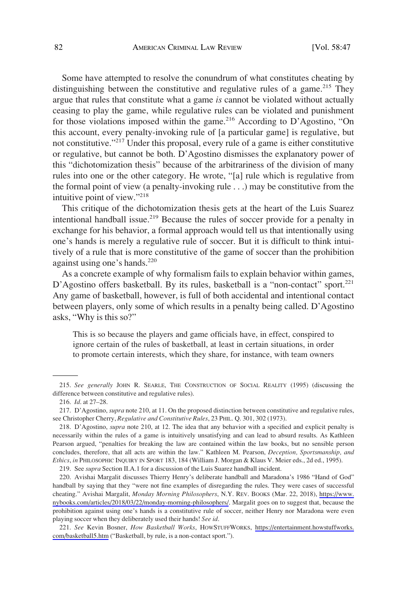Some have attempted to resolve the conundrum of what constitutes cheating by distinguishing between the constitutive and regulative rules of a game.<sup>215</sup> They argue that rules that constitute what a game *is* cannot be violated without actually ceasing to play the game, while regulative rules can be violated and punishment for those violations imposed within the game.<sup>216</sup> According to D'Agostino, "On this account, every penalty-invoking rule of [a particular game] is regulative, but not constitutive."217 Under this proposal, every rule of a game is either constitutive or regulative, but cannot be both. D'Agostino dismisses the explanatory power of this "dichotomization thesis" because of the arbitrariness of the division of many rules into one or the other category. He wrote, "[a] rule which is regulative from the formal point of view (a penalty-invoking rule . . .) may be constitutive from the intuitive point of view."218

This critique of the dichotomization thesis gets at the heart of the Luis Suarez intentional handball issue.<sup>219</sup> Because the rules of soccer provide for a penalty in exchange for his behavior, a formal approach would tell us that intentionally using one's hands is merely a regulative rule of soccer. But it is difficult to think intuitively of a rule that is more constitutive of the game of soccer than the prohibition against using one's hands. $220$ 

As a concrete example of why formalism fails to explain behavior within games, D'Agostino offers basketball. By its rules, basketball is a "non-contact" sport.<sup>221</sup> Any game of basketball, however, is full of both accidental and intentional contact between players, only some of which results in a penalty being called. D'Agostino asks, "Why is this so?"

This is so because the players and game officials have, in effect, conspired to ignore certain of the rules of basketball, at least in certain situations, in order to promote certain interests, which they share, for instance, with team owners

<sup>215.</sup> *See generally* JOHN R. SEARLE, THE CONSTRUCTION OF SOCIAL REALITY (1995) (discussing the difference between constitutive and regulative rules).

<sup>216.</sup> *Id*. at 27–28.

<sup>217.</sup> D'Agostino, *supra* note 210, at 11. On the proposed distinction between constitutive and regulative rules, see Christopher Cherry, *Regulative and Constitutive Rules*, 23 PHIL. Q. 301, 302 (1973).

<sup>218.</sup> D'Agostino, *supra* note 210, at 12. The idea that any behavior with a specified and explicit penalty is necessarily within the rules of a game is intuitively unsatisfying and can lead to absurd results. As Kathleen Pearson argued, "penalties for breaking the law are contained within the law books, but no sensible person concludes, therefore, that all acts are within the law." Kathleen M. Pearson, *Deception, Sportsmanship, and Ethics*, *in* PHILOSOPHIC INQUIRY IN SPORT 183, 184 (William J. Morgan & Klaus V. Meier eds., 2d ed., 1995).

<sup>219.</sup> See *supra* Section II.A.1 for a discussion of the Luis Suarez handball incident.

<sup>220.</sup> Avishai Margalit discusses Thierry Henry's deliberate handball and Maradona's 1986 "Hand of God" handball by saying that they "were not fine examples of disregarding the rules. They were cases of successful cheating." Avishai Margalit, *Monday Morning Philosophers*, N.Y. REV. BOOKS (Mar. 22, 2018), [https://www.](https://www.nybooks.com/articles/2018/03/22/monday-morning-philosophers/)  [nybooks.com/articles/2018/03/22/monday-morning-philosophers/](https://www.nybooks.com/articles/2018/03/22/monday-morning-philosophers/). Margalit goes on to suggest that, because the prohibition against using one's hands is a constitutive rule of soccer, neither Henry nor Maradona were even playing soccer when they deliberately used their hands! *See id*.

*See* Kevin Bosner, *How Basketball Works*, HOWSTUFFWORKS, [https://entertainment.howstuffworks.](https://entertainment.howstuffworks.com/basketball5.htm) 221. [com/basketball5.htm](https://entertainment.howstuffworks.com/basketball5.htm) ("Basketball, by rule, is a non-contact sport.").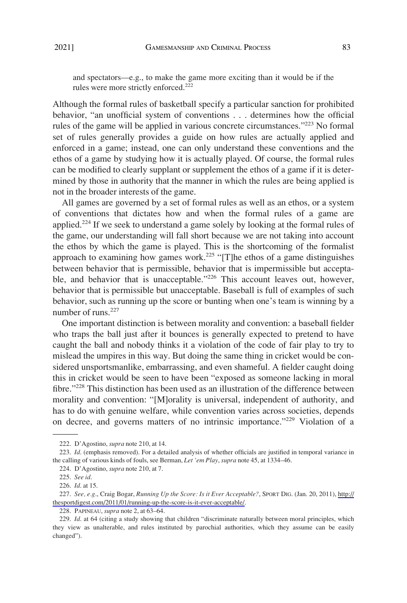and spectators—e.g., to make the game more exciting than it would be if the rules were more strictly enforced.<sup>222</sup>

Although the formal rules of basketball specify a particular sanction for prohibited behavior, "an unofficial system of conventions . . . determines how the official rules of the game will be applied in various concrete circumstances."<sup>223</sup> No formal set of rules generally provides a guide on how rules are actually applied and enforced in a game; instead, one can only understand these conventions and the ethos of a game by studying how it is actually played. Of course, the formal rules can be modified to clearly supplant or supplement the ethos of a game if it is determined by those in authority that the manner in which the rules are being applied is not in the broader interests of the game.

All games are governed by a set of formal rules as well as an ethos, or a system of conventions that dictates how and when the formal rules of a game are applied.<sup>224</sup> If we seek to understand a game solely by looking at the formal rules of the game, our understanding will fall short because we are not taking into account the ethos by which the game is played. This is the shortcoming of the formalist approach to examining how games work.<sup>225</sup> "[T]he ethos of a game distinguishes between behavior that is permissible, behavior that is impermissible but acceptable, and behavior that is unacceptable."<sup>226</sup> This account leaves out, however, behavior that is permissible but unacceptable. Baseball is full of examples of such behavior, such as running up the score or bunting when one's team is winning by a number of runs.<sup>227</sup>

One important distinction is between morality and convention: a baseball fielder who traps the ball just after it bounces is generally expected to pretend to have caught the ball and nobody thinks it a violation of the code of fair play to try to mislead the umpires in this way. But doing the same thing in cricket would be considered unsportsmanlike, embarrassing, and even shameful. A fielder caught doing this in cricket would be seen to have been "exposed as someone lacking in moral fibre."<sup>228</sup> This distinction has been used as an illustration of the difference between morality and convention: "[M]orality is universal, independent of authority, and has to do with genuine welfare, while convention varies across societies, depends on decree, and governs matters of no intrinsic importance."229 Violation of a

<sup>222.</sup> D'Agostino, *supra* note 210, at 14.

<sup>223.</sup> *Id*. (emphasis removed). For a detailed analysis of whether officials are justified in temporal variance in the calling of various kinds of fouls, see Berman, *Let 'em Play*, *supra* note 45, at 1334–46.

<sup>224.</sup> D'Agostino, *supra* note 210, at 7.

<sup>225.</sup> *See id*.

<sup>226.</sup> *Id*. at 15.

*See, e.g*., Craig Bogar, *Running Up the Score: Is it Ever Acceptable?*, SPORT DIG. (Jan. 20, 2011), [http://](http://thesportdigest.com/2011/01/running-up-the-score-is-it-ever-acceptable/) 227. [thesportdigest.com/2011/01/running-up-the-score-is-it-ever-acceptable/](http://thesportdigest.com/2011/01/running-up-the-score-is-it-ever-acceptable/).

<sup>228.</sup> PAPINEAU, *supra* note 2, at 63–64.

<sup>229.</sup> *Id*. at 64 (citing a study showing that children "discriminate naturally between moral principles, which they view as unalterable, and rules instituted by parochial authorities, which they assume can be easily changed").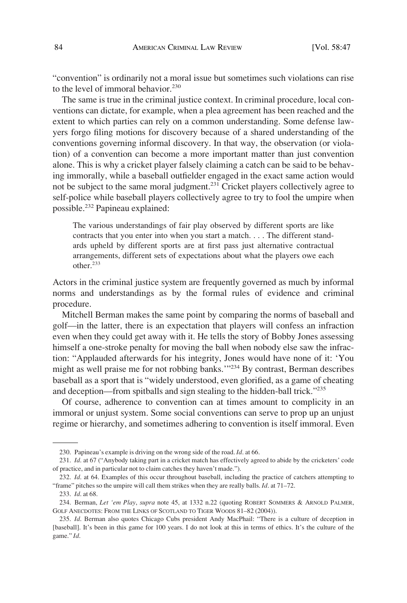"convention" is ordinarily not a moral issue but sometimes such violations can rise to the level of immoral behavior.<sup>230</sup>

The same is true in the criminal justice context. In criminal procedure, local conventions can dictate, for example, when a plea agreement has been reached and the extent to which parties can rely on a common understanding. Some defense lawyers forgo filing motions for discovery because of a shared understanding of the conventions governing informal discovery. In that way, the observation (or violation) of a convention can become a more important matter than just convention alone. This is why a cricket player falsely claiming a catch can be said to be behaving immorally, while a baseball outfielder engaged in the exact same action would not be subject to the same moral judgment.<sup>231</sup> Cricket players collectively agree to self-police while baseball players collectively agree to try to fool the umpire when possible.232 Papineau explained:

The various understandings of fair play observed by different sports are like contracts that you enter into when you start a match. . . . The different standards upheld by different sports are at first pass just alternative contractual arrangements, different sets of expectations about what the players owe each other.<sup>233</sup>

Actors in the criminal justice system are frequently governed as much by informal norms and understandings as by the formal rules of evidence and criminal procedure.

Mitchell Berman makes the same point by comparing the norms of baseball and golf—in the latter, there is an expectation that players will confess an infraction even when they could get away with it. He tells the story of Bobby Jones assessing himself a one-stroke penalty for moving the ball when nobody else saw the infraction: "Applauded afterwards for his integrity, Jones would have none of it: 'You might as well praise me for not robbing banks.'"234 By contrast, Berman describes baseball as a sport that is "widely understood, even glorified, as a game of cheating and deception—from spitballs and sign stealing to the hidden-ball trick."<sup>235</sup>

Of course, adherence to convention can at times amount to complicity in an immoral or unjust system. Some social conventions can serve to prop up an unjust regime or hierarchy, and sometimes adhering to convention is itself immoral. Even

<sup>230.</sup> Papineau's example is driving on the wrong side of the road. *Id*. at 66.

<sup>231.</sup> *Id*. at 67 ("Anybody taking part in a cricket match has effectively agreed to abide by the cricketers' code of practice, and in particular not to claim catches they haven't made.").

<sup>232.</sup> *Id*. at 64. Examples of this occur throughout baseball, including the practice of catchers attempting to "frame" pitches so the umpire will call them strikes when they are really balls. *Id*. at 71–72.

<sup>233.</sup> *Id*. at 68.

<sup>234.</sup> Berman, *Let 'em Play*, *supra* note 45, at 1332 n.22 (quoting ROBERT SOMMERS & ARNOLD PALMER, GOLF ANECDOTES: FROM THE LINKS OF SCOTLAND TO TIGER WOODS 81–82 (2004)).

<sup>235.</sup> *Id*. Berman also quotes Chicago Cubs president Andy MacPhail: "There is a culture of deception in [baseball]. It's been in this game for 100 years. I do not look at this in terms of ethics. It's the culture of the game." *Id*.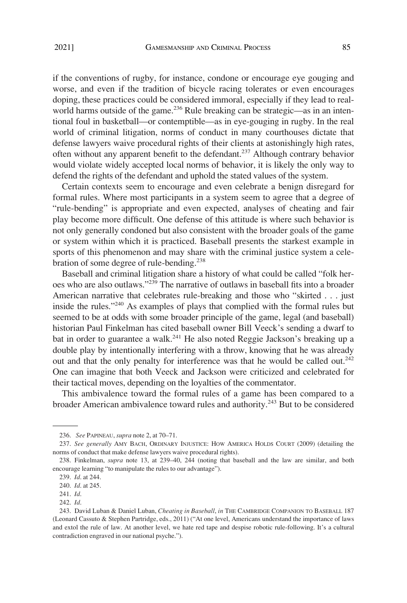if the conventions of rugby, for instance, condone or encourage eye gouging and worse, and even if the tradition of bicycle racing tolerates or even encourages doping, these practices could be considered immoral, especially if they lead to realworld harms outside of the game.<sup>236</sup> Rule breaking can be strategic—as in an intentional foul in basketball—or contemptible—as in eye-gouging in rugby. In the real world of criminal litigation, norms of conduct in many courthouses dictate that defense lawyers waive procedural rights of their clients at astonishingly high rates, often without any apparent benefit to the defendant.237 Although contrary behavior would violate widely accepted local norms of behavior, it is likely the only way to defend the rights of the defendant and uphold the stated values of the system.

Certain contexts seem to encourage and even celebrate a benign disregard for formal rules. Where most participants in a system seem to agree that a degree of "rule-bending" is appropriate and even expected, analyses of cheating and fair play become more difficult. One defense of this attitude is where such behavior is not only generally condoned but also consistent with the broader goals of the game or system within which it is practiced. Baseball presents the starkest example in sports of this phenomenon and may share with the criminal justice system a celebration of some degree of rule-bending.<sup>238</sup>

Baseball and criminal litigation share a history of what could be called "folk heroes who are also outlaws."239 The narrative of outlaws in baseball fits into a broader American narrative that celebrates rule-breaking and those who "skirted . . . just inside the rules."240 As examples of plays that complied with the formal rules but seemed to be at odds with some broader principle of the game, legal (and baseball) historian Paul Finkelman has cited baseball owner Bill Veeck's sending a dwarf to bat in order to guarantee a walk.<sup>241</sup> He also noted Reggie Jackson's breaking up a double play by intentionally interfering with a throw, knowing that he was already out and that the only penalty for interference was that he would be called out.<sup>242</sup> One can imagine that both Veeck and Jackson were criticized and celebrated for their tactical moves, depending on the loyalties of the commentator.

This ambivalence toward the formal rules of a game has been compared to a broader American ambivalence toward rules and authority.243 But to be considered

<sup>236.</sup> *See* PAPINEAU, *supra* note 2, at 70–71.

<sup>237.</sup> *See generally* AMY BACH, ORDINARY INJUSTICE: HOW AMERICA HOLDS COURT (2009) (detailing the norms of conduct that make defense lawyers waive procedural rights).

<sup>238.</sup> Finkelman, *supra* note 13, at 239–40, 244 (noting that baseball and the law are similar, and both encourage learning "to manipulate the rules to our advantage").

<sup>239.</sup> *Id*. at 244.

<sup>240.</sup> *Id*. at 245.

<sup>241.</sup> *Id*.

<sup>242.</sup> *Id*.

<sup>243.</sup> David Luban & Daniel Luban, *Cheating in Baseball*, *in* THE CAMBRIDGE COMPANION TO BASEBALL 187 (Leonard Cassuto & Stephen Partridge, eds., 2011) ("At one level, Americans understand the importance of laws and extol the rule of law. At another level, we hate red tape and despise robotic rule-following. It's a cultural contradiction engraved in our national psyche.").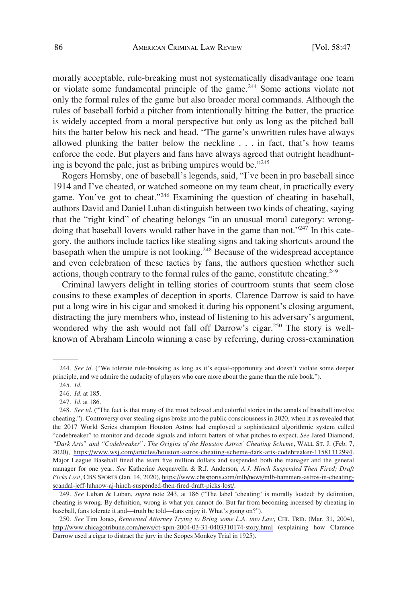morally acceptable, rule-breaking must not systematically disadvantage one team or violate some fundamental principle of the game.244 Some actions violate not only the formal rules of the game but also broader moral commands. Although the rules of baseball forbid a pitcher from intentionally hitting the batter, the practice is widely accepted from a moral perspective but only as long as the pitched ball hits the batter below his neck and head. "The game's unwritten rules have always allowed plunking the batter below the neckline . . . in fact, that's how teams enforce the code. But players and fans have always agreed that outright headhunting is beyond the pale, just as bribing umpires would be."<sup>245</sup>

Rogers Hornsby, one of baseball's legends, said, "I've been in pro baseball since 1914 and I've cheated, or watched someone on my team cheat, in practically every game. You've got to cheat."<sup>246</sup> Examining the question of cheating in baseball, authors David and Daniel Luban distinguish between two kinds of cheating, saying that the "right kind" of cheating belongs "in an unusual moral category: wrongdoing that baseball lovers would rather have in the game than not."<sup>247</sup> In this category, the authors include tactics like stealing signs and taking shortcuts around the basepath when the umpire is not looking.<sup>248</sup> Because of the widespread acceptance and even celebration of these tactics by fans, the authors question whether such actions, though contrary to the formal rules of the game, constitute cheating.<sup>249</sup>

Criminal lawyers delight in telling stories of courtroom stunts that seem close cousins to these examples of deception in sports. Clarence Darrow is said to have put a long wire in his cigar and smoked it during his opponent's closing argument, distracting the jury members who, instead of listening to his adversary's argument, wondered why the ash would not fall off Darrow's cigar.<sup>250</sup> The story is wellknown of Abraham Lincoln winning a case by referring, during cross-examination

249. *See* Luban & Luban, *supra* note 243, at 186 ("The label 'cheating' is morally loaded: by definition, cheating is wrong. By definition, wrong is what you cannot do. But far from becoming incensed by cheating in baseball, fans tolerate it and—truth be told—fans enjoy it. What's going on?").

*See* Tim Jones, *Renowned Attorney Trying to Bring some L.A. into Law*, CHI. TRIB. (Mar. 31, 2004), 250. <http://www.chicagotribune.com/news/ct-xpm-2004-03-31-0403310174-story.html> (explaining how Clarence Darrow used a cigar to distract the jury in the Scopes Monkey Trial in 1925).

<sup>244.</sup> *See id*. ("We tolerate rule-breaking as long as it's equal-opportunity and doesn't violate some deeper principle, and we admire the audacity of players who care more about the game than the rule book.").

<sup>245.</sup> *Id*.

<sup>246.</sup> *Id*. at 185.

<sup>247.</sup> *Id*. at 186.

<sup>248.</sup> See id. ("The fact is that many of the most beloved and colorful stories in the annals of baseball involve cheating."). Controversy over stealing signs broke into the public consciousness in 2020, when it as revealed that the 2017 World Series champion Houston Astros had employed a sophisticated algorithmic system called "codebreaker" to monitor and decode signals and inform batters of what pitches to expect. *See* Jared Diamond, *"Dark Arts" and "Codebreaker": The Origins of the Houston Astros' Cheating Scheme*, WALL ST. J. (Feb. 7, 2020), <https://www.wsj.com/articles/houston-astros-cheating-scheme-dark-arts-codebreaker-11581112994>. Major League Baseball fined the team five million dollars and suspended both the manager and the general manager for one year. *See* Katherine Acquavella & R.J. Anderson, *A.J. Hinch Suspended Then Fired; Draft Picks Lost*, CBS SPORTS (Jan. 14, 2020), [https://www.cbssports.com/mlb/news/mlb-hammers-astros-in-cheating](https://www.cbssports.com/mlb/news/mlb-hammers-astros-in-cheating-scandal-jeff-luhnow-aj-hinch-suspended-then-fired-draft-picks-lost/)[scandal-jeff-luhnow-aj-hinch-suspended-then-fired-draft-picks-lost/.](https://www.cbssports.com/mlb/news/mlb-hammers-astros-in-cheating-scandal-jeff-luhnow-aj-hinch-suspended-then-fired-draft-picks-lost/)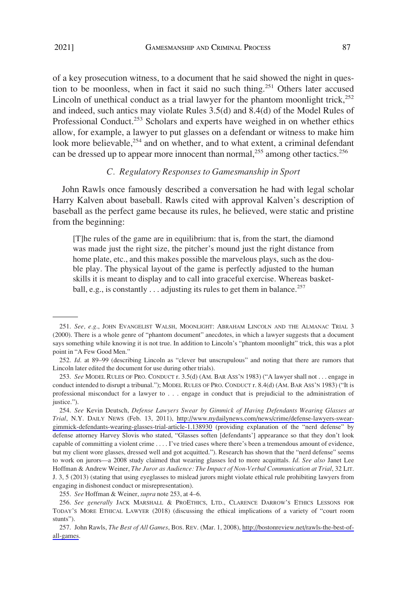<span id="page-40-0"></span>of a key prosecution witness, to a document that he said showed the night in question to be moonless, when in fact it said no such thing.251 Others later accused Lincoln of unethical conduct as a trial lawyer for the phantom moonlight trick, $^{252}$ and indeed, such antics may violate Rules 3.5(d) and 8.4(d) of the Model Rules of Professional Conduct.<sup>253</sup> Scholars and experts have weighed in on whether ethics allow, for example, a lawyer to put glasses on a defendant or witness to make him look more believable,<sup>254</sup> and on whether, and to what extent, a criminal defendant can be dressed up to appear more innocent than normal,<sup>255</sup> among other tactics.<sup>256</sup>

## *C. Regulatory Responses to Gamesmanship in Sport*

John Rawls once famously described a conversation he had with legal scholar Harry Kalven about baseball. Rawls cited with approval Kalven's description of baseball as the perfect game because its rules, he believed, were static and pristine from the beginning:

[T]he rules of the game are in equilibrium: that is, from the start, the diamond was made just the right size, the pitcher's mound just the right distance from home plate, etc., and this makes possible the marvelous plays, such as the double play. The physical layout of the game is perfectly adjusted to the human skills it is meant to display and to call into graceful exercise. Whereas basketball, e.g., is constantly . . . adjusting its rules to get them in balance.<sup>257</sup>

255. *See* Hoffman & Weiner, *supra* note 253, at 4–6.

<sup>251.</sup> *See, e.g*., JOHN EVANGELIST WALSH, MOONLIGHT: ABRAHAM LINCOLN AND THE ALMANAC TRIAL 3 (2000). There is a whole genre of "phantom document" anecdotes, in which a lawyer suggests that a document says something while knowing it is not true. In addition to Lincoln's "phantom moonlight" trick, this was a plot point in "A Few Good Men."

<sup>252.</sup> *Id*. at 89–99 (describing Lincoln as "clever but unscrupulous" and noting that there are rumors that Lincoln later edited the document for use during other trials).

<sup>253.</sup> *See* MODEL RULES OF PRO. CONDUCT r. 3.5(d) (AM. BAR ASS'N 1983) ("A lawyer shall not . . . engage in conduct intended to disrupt a tribunal."); MODEL RULES OF PRO. CONDUCT r. 8.4(d) (AM. BAR ASS'N 1983) ("It is professional misconduct for a lawyer to . . . engage in conduct that is prejudicial to the administration of justice.").

*See* Kevin Deutsch, *Defense Lawyers Swear by Gimmick of Having Defendants Wearing Glasses at*  254. *Trial*, N.Y. DAILY NEWS (Feb. 13, 2011), [http://www.nydailynews.com/news/crime/defense-lawyers-swear](http://www.nydailynews.com/news/crime/defense-lawyers-swear-gimmick-defendants-wearing-glasses-trial-article-1.138930)[gimmick-defendants-wearing-glasses-trial-article-1.138930](http://www.nydailynews.com/news/crime/defense-lawyers-swear-gimmick-defendants-wearing-glasses-trial-article-1.138930) (providing explanation of the "nerd defense" by defense attorney Harvey Slovis who stated, "Glasses soften [defendants'] appearance so that they don't look capable of committing a violent crime . . . . I've tried cases where there's been a tremendous amount of evidence, but my client wore glasses, dressed well and got acquitted."). Research has shown that the "nerd defense" seems to work on jurors—a 2008 study claimed that wearing glasses led to more acquittals*. Id*. *See also* Janet Lee Hoffman & Andrew Weiner, *The Juror as Audience: The Impact of Non-Verbal Communication at Trial*, 32 LIT. J. 3, 5 (2013) (stating that using eyeglasses to mislead jurors might violate ethical rule prohibiting lawyers from engaging in dishonest conduct or misrepresentation).

<sup>256.</sup> *See generally* JACK MARSHALL & PROETHICS, LTD., CLARENCE DARROW'S ETHICS LESSONS FOR TODAY'S MORE ETHICAL LAWYER (2018) (discussing the ethical implications of a variety of "court room stunts").

<sup>257.</sup> John Rawls, *The Best of All Games*, Bos. REV. (Mar. 1, 2008), [http://bostonreview.net/rawls-the-best-of](http://bostonreview.net/rawls-the-best-of-all-games)[all-games](http://bostonreview.net/rawls-the-best-of-all-games).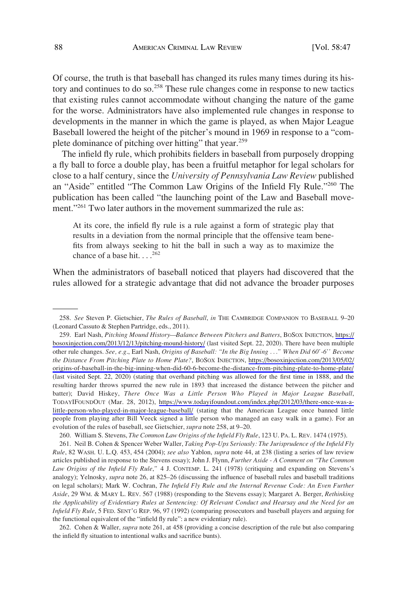Of course, the truth is that baseball has changed its rules many times during its history and continues to do so.<sup>258</sup> These rule changes come in response to new tactics that existing rules cannot accommodate without changing the nature of the game for the worse. Administrators have also implemented rule changes in response to developments in the manner in which the game is played, as when Major League Baseball lowered the height of the pitcher's mound in 1969 in response to a "complete dominance of pitching over hitting" that year.<sup>259</sup>

The infield fly rule, which prohibits fielders in baseball from purposely dropping a fly ball to force a double play, has been a fruitful metaphor for legal scholars for close to a half century, since the *University of Pennsylvania Law Review* published an "Aside" entitled "The Common Law Origins of the Infield Fly Rule."260 The publication has been called "the launching point of the Law and Baseball movement."<sup>261</sup> Two later authors in the movement summarized the rule as:

At its core, the infield fly rule is a rule against a form of strategic play that results in a deviation from the normal principle that the offensive team benefits from always seeking to hit the ball in such a way as to maximize the chance of a base hit.  $\cdot \cdot \cdot^{262}$ 

When the administrators of baseball noticed that players had discovered that the rules allowed for a strategic advantage that did not advance the broader purposes

260. William S. Stevens, *The Common Law Origins of the Infield Fly Rule*, 123 U. PA. L. REV. 1474 (1975).

261. Neil B. Cohen & Spencer Weber Waller, *Taking Pop-Ups Seriously: The Jurisprudence of the Infield Fly Rule*, 82 WASH. U. L.Q. 453, 454 (2004); *see also* Yablon, *supra* note 44, at 238 (listing a series of law review articles published in response to the Stevens essay); John J. Flynn, *Further Aside - A Comment on "The Common Law Origins of the Infield Fly Rule*,*"* 4 J. CONTEMP. L. 241 (1978) (critiquing and expanding on Stevens's analogy); Yelnosky, *supra* note 26, at 825–26 (discussing the influence of baseball rules and baseball traditions on legal scholars); Mark W. Cochran, *The Infield Fly Rule and the Internal Revenue Code: An Even Further Aside*, 29 WM. & MARY L. REV. 567 (1988) (responding to the Stevens essay); Margaret A. Berger, *Rethinking the Applicability of Evidentiary Rules at Sentencing: Of Relevant Conduct and Hearsay and the Need for an Infield Fly Rule*, 5 FED. SENT'G REP. 96, 97 (1992) (comparing prosecutors and baseball players and arguing for the functional equivalent of the "infield fly rule": a new evidentiary rule).

262. Cohen & Waller, *supra* note 261, at 458 (providing a concise description of the rule but also comparing the infield fly situation to intentional walks and sacrifice bunts).

<sup>258.</sup> *See* Steven P. Gietschier, *The Rules of Baseball*, *in* THE CAMBRIDGE COMPANION TO BASEBALL 9–20 (Leonard Cassuto & Stephen Partridge, eds., 2011).

Earl Nash, *Pitching Mound History—Balance Between Pitchers and Batters*, BOSOX INJECTION, [https://](https://bosoxinjection.com/2013/12/13/pitching-mound-history/) 259. [bosoxinjection.com/2013/12/13/pitching-mound-history/](https://bosoxinjection.com/2013/12/13/pitching-mound-history/) (last visited Sept. 22, 2020). There have been multiple other rule changes. *See, e.g*., Earl Nash, *Origins of Baseball: "In the Big Inning* . . .*" When Did 60'-6'' Become the Distance From Pitching Plate to Home Plate?*, BOSOX INJECTION, [https://bosoxinjection.com/2013/05/02/](https://bosoxinjection.com/2013/05/02/origins-of-baseball-in-the-big-inning-when-did-60-6-become-the-distance-from-pitching-plate-to-home-plate/)  [origins-of-baseball-in-the-big-inning-when-did-60-6-become-the-distance-from-pitching-plate-to-home-plate/](https://bosoxinjection.com/2013/05/02/origins-of-baseball-in-the-big-inning-when-did-60-6-become-the-distance-from-pitching-plate-to-home-plate/)  (last visited Sept. 22, 2020) (stating that overhand pitching was allowed for the first time in 1888, and the resulting harder throws spurred the new rule in 1893 that increased the distance between the pitcher and batter); David Hiskey, *There Once Was a Little Person Who Played in Major League Baseball*, TODAYIFOUNDOUT (Mar. 28, 2012), [https://www.todayifoundout.com/index.php/2012/03/there-once-was-a](https://www.todayifoundout.com/index.php/2012/03/there-once-was-a-little-person-who-played-in-major-league-baseball/)[little-person-who-played-in-major-league-baseball/](https://www.todayifoundout.com/index.php/2012/03/there-once-was-a-little-person-who-played-in-major-league-baseball/) (stating that the American League once banned little people from playing after Bill Veeck signed a little person who managed an easy walk in a game). For an evolution of the rules of baseball, see Gietschier, *supra* note 258, at 9–20.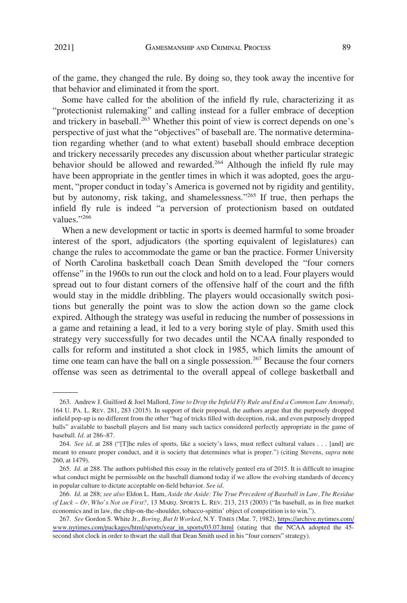of the game, they changed the rule. By doing so, they took away the incentive for that behavior and eliminated it from the sport.

Some have called for the abolition of the infield fly rule, characterizing it as "protectionist rulemaking" and calling instead for a fuller embrace of deception and trickery in baseball.<sup>263</sup> Whether this point of view is correct depends on one's perspective of just what the "objectives" of baseball are. The normative determination regarding whether (and to what extent) baseball should embrace deception and trickery necessarily precedes any discussion about whether particular strategic behavior should be allowed and rewarded.<sup>264</sup> Although the infield fly rule may have been appropriate in the gentler times in which it was adopted, goes the argument, "proper conduct in today's America is governed not by rigidity and gentility, but by autonomy, risk taking, and shamelessness."265 If true, then perhaps the infield fly rule is indeed "a perversion of protectionism based on outdated values."266

When a new development or tactic in sports is deemed harmful to some broader interest of the sport, adjudicators (the sporting equivalent of legislatures) can change the rules to accommodate the game or ban the practice. Former University of North Carolina basketball coach Dean Smith developed the "four corners offense" in the 1960s to run out the clock and hold on to a lead. Four players would spread out to four distant corners of the offensive half of the court and the fifth would stay in the middle dribbling. The players would occasionally switch positions but generally the point was to slow the action down so the game clock expired. Although the strategy was useful in reducing the number of possessions in a game and retaining a lead, it led to a very boring style of play. Smith used this strategy very successfully for two decades until the NCAA finally responded to calls for reform and instituted a shot clock in 1985, which limits the amount of time one team can have the ball on a single possession.<sup>267</sup> Because the four corners offense was seen as detrimental to the overall appeal of college basketball and

<sup>263.</sup> Andrew J. Guilford & Joel Mallord, *Time to Drop the Infield Fly Rule and End a Common Law Anomaly*, 164 U. PA. L. REV. 281, 283 (2015). In support of their proposal, the authors argue that the purposely dropped infield pop-up is no different from the other "bag of tricks filled with deception, risk, and even purposely dropped balls" available to baseball players and list many such tactics considered perfectly appropriate in the game of baseball. *Id*. at 286–87.

<sup>264.</sup> *See id*. at 288 ("[T]he rules of sports, like a society's laws, must reflect cultural values . . . [and] are meant to ensure proper conduct, and it is society that determines what is proper.") (citing Stevens, *supra* note 260, at 1479).

<sup>265.</sup> *Id*. at 288. The authors published this essay in the relatively genteel era of 2015. It is difficult to imagine what conduct might be permissible on the baseball diamond today if we allow the evolving standards of decency in popular culture to dictate acceptable on-field behavior. *See id*.

<sup>266.</sup> *Id*. at 288; *see also* Eldon L. Ham, *Aside the Aside: The True Precedent of Baseball in Law, The Residue of Luck – Or, Who's Not on First?*, 13 MARQ. SPORTS L. REV. 213, 213 (2003) ("In baseball, as in free market economics and in law, the chip-on-the-shoulder, tobacco-spittin' object of competition is to win.").

*See* Gordon S. White Jr., *Boring, But It Worked*, N.Y. TIMES (Mar. 7, 1982), [https://archive.nytimes.com/](https://archive.nytimes.com/www.nytimes.com/packages/html/sports/year_in_sports/03.07.html) 267. [www.nytimes.com/packages/html/sports/year\\_in\\_sports/03.07.html](https://archive.nytimes.com/www.nytimes.com/packages/html/sports/year_in_sports/03.07.html) (stating that the NCAA adopted the 45 second shot clock in order to thwart the stall that Dean Smith used in his "four corners" strategy).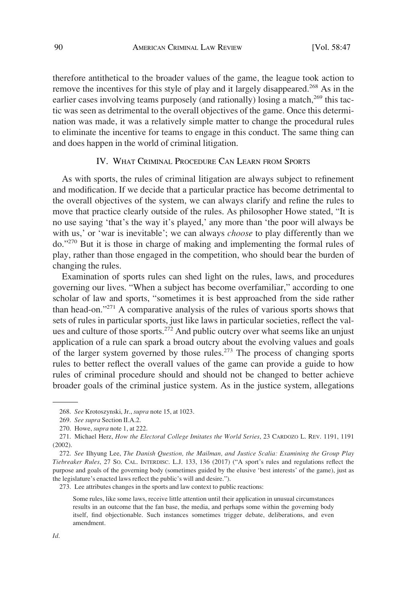<span id="page-43-0"></span>therefore antithetical to the broader values of the game, the league took action to remove the incentives for this style of play and it largely disappeared.<sup>268</sup> As in the earlier cases involving teams purposely (and rationally) losing a match, $^{269}$  this tactic was seen as detrimental to the overall objectives of the game. Once this determination was made, it was a relatively simple matter to change the procedural rules to eliminate the incentive for teams to engage in this conduct. The same thing can and does happen in the world of criminal litigation.

# IV. WHAT CRIMINAL PROCEDURE CAN LEARN FROM SPORTS

As with sports, the rules of criminal litigation are always subject to refinement and modification. If we decide that a particular practice has become detrimental to the overall objectives of the system, we can always clarify and refine the rules to move that practice clearly outside of the rules. As philosopher Howe stated, "It is no use saying 'that's the way it's played,' any more than 'the poor will always be with us,' or 'war is inevitable'; we can always *choose* to play differently than we do."270 But it is those in charge of making and implementing the formal rules of play, rather than those engaged in the competition, who should bear the burden of changing the rules.

Examination of sports rules can shed light on the rules, laws, and procedures governing our lives. "When a subject has become overfamiliar," according to one scholar of law and sports, "sometimes it is best approached from the side rather than head-on."271 A comparative analysis of the rules of various sports shows that sets of rules in particular sports, just like laws in particular societies, reflect the values and culture of those sports.272 And public outcry over what seems like an unjust application of a rule can spark a broad outcry about the evolving values and goals of the larger system governed by those rules.<sup>273</sup> The process of changing sports rules to better reflect the overall values of the game can provide a guide to how rules of criminal procedure should and should not be changed to better achieve broader goals of the criminal justice system. As in the justice system, allegations

<sup>268.</sup> *See* Krotoszynski, Jr., *supra* note 15, at 1023.

<sup>269.</sup> *See supra* Section II.A.2.

<sup>270.</sup> Howe, *supra* note 1, at 222.

<sup>271.</sup> Michael Herz, *How the Electoral College Imitates the World Series*, 23 CARDOZO L. REV. 1191, 1191 (2002).

<sup>272.</sup> *See* Ilhyung Lee, *The Danish Question, the Mailman, and Justice Scalia: Examining the Group Play Tiebreaker Rules*, 27 SO. CAL. INTERDISC. L.J. 133, 136 (2017) ("A sport's rules and regulations reflect the purpose and goals of the governing body (sometimes guided by the elusive 'best interests' of the game), just as the legislature's enacted laws reflect the public's will and desire.").

<sup>273.</sup> Lee attributes changes in the sports and law context to public reactions:

Some rules, like some laws, receive little attention until their application in unusual circumstances results in an outcome that the fan base, the media, and perhaps some within the governing body itself, find objectionable. Such instances sometimes trigger debate, deliberations, and even amendment.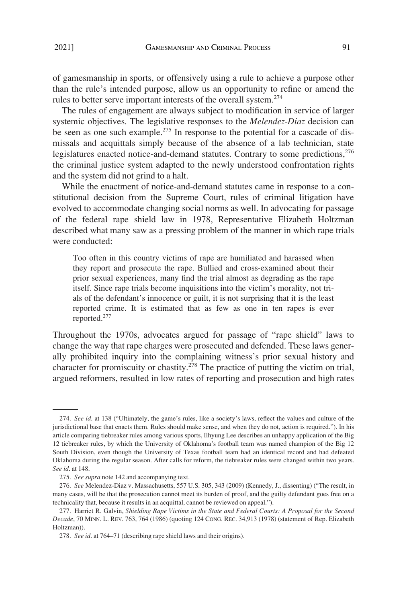of gamesmanship in sports, or offensively using a rule to achieve a purpose other than the rule's intended purpose, allow us an opportunity to refine or amend the rules to better serve important interests of the overall system.<sup>274</sup>

The rules of engagement are always subject to modification in service of larger systemic objectives. The legislative responses to the *Melendez-Diaz* decision can be seen as one such example.<sup>275</sup> In response to the potential for a cascade of dismissals and acquittals simply because of the absence of a lab technician, state legislatures enacted notice-and-demand statutes. Contrary to some predictions,<sup>276</sup> the criminal justice system adapted to the newly understood confrontation rights and the system did not grind to a halt.

While the enactment of notice-and-demand statutes came in response to a constitutional decision from the Supreme Court, rules of criminal litigation have evolved to accommodate changing social norms as well. In advocating for passage of the federal rape shield law in 1978, Representative Elizabeth Holtzman described what many saw as a pressing problem of the manner in which rape trials were conducted:

Too often in this country victims of rape are humiliated and harassed when they report and prosecute the rape. Bullied and cross-examined about their prior sexual experiences, many find the trial almost as degrading as the rape itself. Since rape trials become inquisitions into the victim's morality, not trials of the defendant's innocence or guilt, it is not surprising that it is the least reported crime. It is estimated that as few as one in ten rapes is ever reported.<sup>277</sup>

Throughout the 1970s, advocates argued for passage of "rape shield" laws to change the way that rape charges were prosecuted and defended. These laws generally prohibited inquiry into the complaining witness's prior sexual history and character for promiscuity or chastity.<sup> $278$ </sup> The practice of putting the victim on trial, argued reformers, resulted in low rates of reporting and prosecution and high rates

<sup>274.</sup> *See id*. at 138 ("Ultimately, the game's rules, like a society's laws, reflect the values and culture of the jurisdictional base that enacts them. Rules should make sense, and when they do not, action is required."). In his article comparing tiebreaker rules among various sports, Ilhyung Lee describes an unhappy application of the Big 12 tiebreaker rules, by which the University of Oklahoma's football team was named champion of the Big 12 South Division, even though the University of Texas football team had an identical record and had defeated Oklahoma during the regular season. After calls for reform, the tiebreaker rules were changed within two years. *See id*. at 148.

<sup>275.</sup> *See supra* note 142 and accompanying text.

<sup>276.</sup> *See* Melendez-Diaz v. Massachusetts, 557 U.S. 305, 343 (2009) (Kennedy, J., dissenting) ("The result, in many cases, will be that the prosecution cannot meet its burden of proof, and the guilty defendant goes free on a technicality that, because it results in an acquittal, cannot be reviewed on appeal.").

<sup>277.</sup> Harriet R. Galvin, *Shielding Rape Victims in the State and Federal Courts: A Proposal for the Second Decade*, 70 MINN. L. REV. 763, 764 (1986) (quoting 124 CONG. REC. 34,913 (1978) (statement of Rep. Elizabeth Holtzman)).

<sup>278.</sup> *See id*. at 764–71 (describing rape shield laws and their origins).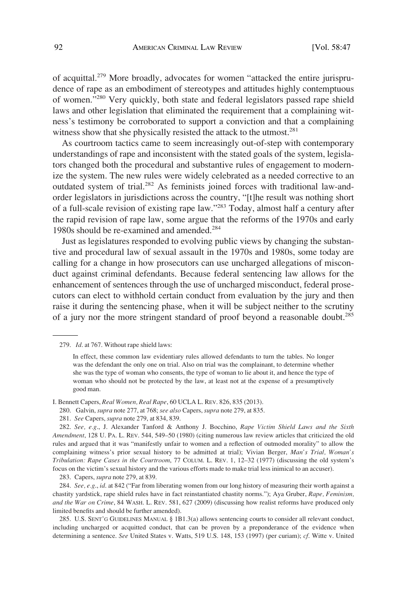of acquittal.279 More broadly, advocates for women "attacked the entire jurisprudence of rape as an embodiment of stereotypes and attitudes highly contemptuous of women."280 Very quickly, both state and federal legislators passed rape shield laws and other legislation that eliminated the requirement that a complaining witness's testimony be corroborated to support a conviction and that a complaining witness show that she physically resisted the attack to the utmost. $^{281}$ 

As courtroom tactics came to seem increasingly out-of-step with contemporary understandings of rape and inconsistent with the stated goals of the system, legislators changed both the procedural and substantive rules of engagement to modernize the system. The new rules were widely celebrated as a needed corrective to an outdated system of trial.<sup>282</sup> As feminists joined forces with traditional law-andorder legislators in jurisdictions across the country, "[t]he result was nothing short of a full-scale revision of existing rape law."283 Today, almost half a century after the rapid revision of rape law, some argue that the reforms of the 1970s and early 1980s should be re-examined and amended.<sup>284</sup>

Just as legislatures responded to evolving public views by changing the substantive and procedural law of sexual assault in the 1970s and 1980s, some today are calling for a change in how prosecutors can use uncharged allegations of misconduct against criminal defendants. Because federal sentencing law allows for the enhancement of sentences through the use of uncharged misconduct, federal prosecutors can elect to withhold certain conduct from evaluation by the jury and then raise it during the sentencing phase, when it will be subject neither to the scrutiny of a jury nor the more stringent standard of proof beyond a reasonable doubt.<sup>285</sup>

283. Capers, *supra* note 279, at 839.

284. *See, e.g*., *id*. at 842 ("Far from liberating women from our long history of measuring their worth against a chastity yardstick, rape shield rules have in fact reinstantiated chastity norms."); Aya Gruber, *Rape, Feminism, and the War on Crime*, 84 WASH. L. REV. 581, 627 (2009) (discussing how realist reforms have produced only limited benefits and should be further amended).

285. U.S. SENT'G GUIDELINES MANUAL § 1B1.3(a) allows sentencing courts to consider all relevant conduct, including uncharged or acquitted conduct, that can be proven by a preponderance of the evidence when determining a sentence. *See* United States v. Watts, 519 U.S. 148, 153 (1997) (per curiam); *cf*. Witte v. United

<sup>279.</sup> *Id*. at 767. Without rape shield laws:

In effect, these common law evidentiary rules allowed defendants to turn the tables. No longer was the defendant the only one on trial. Also on trial was the complainant, to determine whether she was the type of woman who consents, the type of woman to lie about it, and hence the type of woman who should not be protected by the law, at least not at the expense of a presumptively good man.

I. Bennett Capers, *Real Women, Real Rape*, 60 UCLA L. REV. 826, 835 (2013).

<sup>280.</sup> Galvin, *supra* note 277, at 768; *see also* Capers, *supra* note 279, at 835.

<sup>281.</sup> *See* Capers, *supra* note 279, at 834, 839.

<sup>282.</sup> *See, e.g*., J. Alexander Tanford & Anthony J. Bocchino, *Rape Victim Shield Laws and the Sixth Amendment*, 128 U. PA. L. REV. 544, 549–50 (1980) (citing numerous law review articles that criticized the old rules and argued that it was "manifestly unfair to women and a reflection of outmoded morality" to allow the complaining witness's prior sexual history to be admitted at trial); Vivian Berger, *Man's Trial, Woman's Tribulation: Rape Cases in the Courtroom*, 77 COLUM. L. REV. 1, 12–32 (1977) (discussing the old system's focus on the victim's sexual history and the various efforts made to make trial less inimical to an accuser).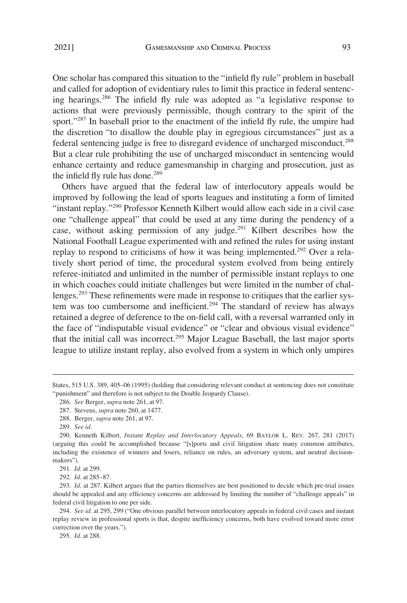One scholar has compared this situation to the "infield fly rule" problem in baseball and called for adoption of evidentiary rules to limit this practice in federal sentencing hearings.<sup>286</sup> The infield fly rule was adopted as "a legislative response to actions that were previously permissible, though contrary to the spirit of the sport."<sup>287</sup> In baseball prior to the enactment of the infield fly rule, the umpire had the discretion "to disallow the double play in egregious circumstances" just as a federal sentencing judge is free to disregard evidence of uncharged misconduct.<sup>288</sup> But a clear rule prohibiting the use of uncharged misconduct in sentencing would enhance certainty and reduce gamesmanship in charging and prosecution, just as the infield fly rule has done.<sup>289</sup>

Others have argued that the federal law of interlocutory appeals would be improved by following the lead of sports leagues and instituting a form of limited "instant replay."290 Professor Kenneth Kilbert would allow each side in a civil case one "challenge appeal" that could be used at any time during the pendency of a case, without asking permission of any judge.<sup>291</sup> Kilbert describes how the National Football League experimented with and refined the rules for using instant replay to respond to criticisms of how it was being implemented.<sup>292</sup> Over a relatively short period of time, the procedural system evolved from being entirely referee-initiated and unlimited in the number of permissible instant replays to one in which coaches could initiate challenges but were limited in the number of challenges.<sup>293</sup> These refinements were made in response to critiques that the earlier system was too cumbersome and inefficient.<sup>294</sup> The standard of review has always retained a degree of deference to the on-field call, with a reversal warranted only in the face of "indisputable visual evidence" or "clear and obvious visual evidence" that the initial call was incorrect.<sup>295</sup> Major League Baseball, the last major sports league to utilize instant replay, also evolved from a system in which only umpires

292. *Id*. at 285–87.

States, 515 U.S. 389, 405–06 (1995) (holding that considering relevant conduct at sentencing does not constitute "punishment" and therefore is not subject to the Double Jeopardy Clause).

<sup>286.</sup> *See* Berger, *supra* note 261, at 97.

<sup>287.</sup> Stevens, *supra* note 260, at 1477.

<sup>288.</sup> Berger, *supra* note 261, at 97.

<sup>289.</sup> *See id*.

<sup>290.</sup> Kenneth Kilbert, *Instant Replay and Interlocutory Appeals*, 69 BAYLOR L. REV. 267, 281 (2017) (arguing this could be accomplished because "[s]ports and civil litigation share many common attributes, including the existence of winners and losers, reliance on rules, an adversary system, and neutral decisionmakers").

<sup>291.</sup> *Id*. at 299.

<sup>293.</sup> *Id*. at 287. Kilbert argues that the parties themselves are best positioned to decide which pre-trial issues should be appealed and any efficiency concerns are addressed by limiting the number of "challenge appeals" in federal civil litigation to one per side.

<sup>294.</sup> *See id*. at 295, 299 ("One obvious parallel between interlocutory appeals in federal civil cases and instant replay review in professional sports is that, despite inefficiency concerns, both have evolved toward more error correction over the years.").

<sup>295.</sup> *Id*. at 288.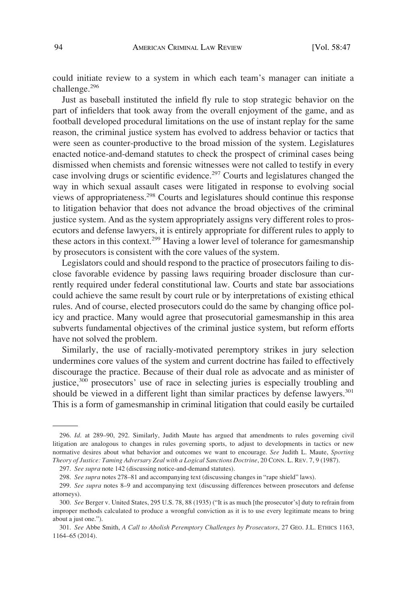could initiate review to a system in which each team's manager can initiate a challenge.<sup>296</sup>

Just as baseball instituted the infield fly rule to stop strategic behavior on the part of infielders that took away from the overall enjoyment of the game, and as football developed procedural limitations on the use of instant replay for the same reason, the criminal justice system has evolved to address behavior or tactics that were seen as counter-productive to the broad mission of the system. Legislatures enacted notice-and-demand statutes to check the prospect of criminal cases being dismissed when chemists and forensic witnesses were not called to testify in every case involving drugs or scientific evidence.<sup>297</sup> Courts and legislatures changed the way in which sexual assault cases were litigated in response to evolving social views of appropriateness.298 Courts and legislatures should continue this response to litigation behavior that does not advance the broad objectives of the criminal justice system. And as the system appropriately assigns very different roles to prosecutors and defense lawyers, it is entirely appropriate for different rules to apply to these actors in this context.299 Having a lower level of tolerance for gamesmanship by prosecutors is consistent with the core values of the system.

Legislators could and should respond to the practice of prosecutors failing to disclose favorable evidence by passing laws requiring broader disclosure than currently required under federal constitutional law. Courts and state bar associations could achieve the same result by court rule or by interpretations of existing ethical rules. And of course, elected prosecutors could do the same by changing office policy and practice. Many would agree that prosecutorial gamesmanship in this area subverts fundamental objectives of the criminal justice system, but reform efforts have not solved the problem.

Similarly, the use of racially-motivated peremptory strikes in jury selection undermines core values of the system and current doctrine has failed to effectively discourage the practice. Because of their dual role as advocate and as minister of justice,<sup>300</sup> prosecutors' use of race in selecting juries is especially troubling and should be viewed in a different light than similar practices by defense lawyers.<sup>301</sup> This is a form of gamesmanship in criminal litigation that could easily be curtailed

<sup>296.</sup> *Id*. at 289–90, 292. Similarly, Judith Maute has argued that amendments to rules governing civil litigation are analogous to changes in rules governing sports, to adjust to developments in tactics or new normative desires about what behavior and outcomes we want to encourage. *See* Judith L. Maute, *Sporting Theory of Justice: Taming Adversary Zeal with a Logical Sanctions Doctrine*, 20 CONN. L. REV. 7, 9 (1987).

<sup>297.</sup> *See supra* note 142 (discussing notice-and-demand statutes).

<sup>298.</sup> *See supra* notes 278–81 and accompanying text (discussing changes in "rape shield" laws).

<sup>299.</sup> *See supra* notes 8–9 and accompanying text (discussing differences between prosecutors and defense attorneys).

<sup>300.</sup> *See* Berger v. United States, 295 U.S. 78, 88 (1935) ("It is as much [the prosecutor's] duty to refrain from improper methods calculated to produce a wrongful conviction as it is to use every legitimate means to bring about a just one.").

<sup>301.</sup> *See* Abbe Smith, *A Call to Abolish Peremptory Challenges by Prosecutors*, 27 GEO. J.L. ETHICS 1163, 1164–65 (2014).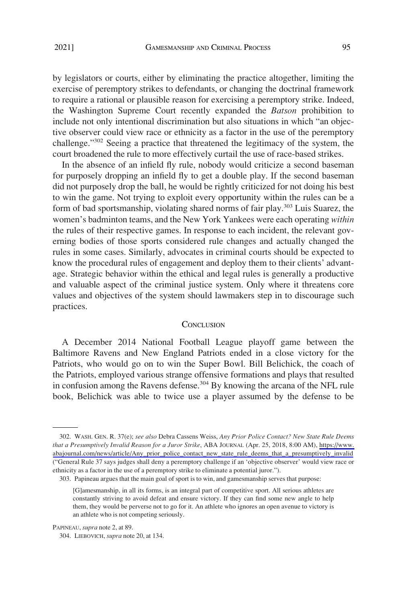by legislators or courts, either by eliminating the practice altogether, limiting the exercise of peremptory strikes to defendants, or changing the doctrinal framework to require a rational or plausible reason for exercising a peremptory strike. Indeed, the Washington Supreme Court recently expanded the *Batson* prohibition to include not only intentional discrimination but also situations in which "an objective observer could view race or ethnicity as a factor in the use of the peremptory challenge."<sup>302</sup> Seeing a practice that threatened the legitimacy of the system, the court broadened the rule to more effectively curtail the use of race-based strikes.

In the absence of an infield fly rule, nobody would criticize a second baseman for purposely dropping an infield fly to get a double play. If the second baseman did not purposely drop the ball, he would be rightly criticized for not doing his best to win the game. Not trying to exploit every opportunity within the rules can be a form of bad sportsmanship, violating shared norms of fair play.<sup>303</sup> Luis Suarez, the women's badminton teams, and the New York Yankees were each operating *within*  the rules of their respective games. In response to each incident, the relevant governing bodies of those sports considered rule changes and actually changed the rules in some cases. Similarly, advocates in criminal courts should be expected to know the procedural rules of engagement and deploy them to their clients' advantage. Strategic behavior within the ethical and legal rules is generally a productive and valuable aspect of the criminal justice system. Only where it threatens core values and objectives of the system should lawmakers step in to discourage such practices.

#### **CONCLUSION**

A December 2014 National Football League playoff game between the Baltimore Ravens and New England Patriots ended in a close victory for the Patriots, who would go on to win the Super Bowl. Bill Belichick, the coach of the Patriots, employed various strange offensive formations and plays that resulted in confusion among the Ravens defense.<sup>304</sup> By knowing the arcana of the NFL rule book, Belichick was able to twice use a player assumed by the defense to be

WASH. GEN. R. 37(e); *see also* Debra Cassens Weiss, *Any Prior Police Contact? New State Rule Deems*  302. *that a Presumptively Invalid Reason for a Juror Strike*, ABA JOURNAL (Apr. 25, 2018, 8:00 AM), [https://www.](https://www.abajournal.com/news/article/Any_prior_police_contact_new_state_rule_deems_that_a_presumptively_invalid)  [abajournal.com/news/article/Any\\_prior\\_police\\_contact\\_new\\_state\\_rule\\_deems\\_that\\_a\\_presumptively\\_invalid](https://www.abajournal.com/news/article/Any_prior_police_contact_new_state_rule_deems_that_a_presumptively_invalid)  ("General Rule 37 says judges shall deny a peremptory challenge if an 'objective observer' would view race or ethnicity as a factor in the use of a peremptory strike to eliminate a potential juror.").

<sup>303.</sup> Papineau argues that the main goal of sport is to win, and gamesmanship serves that purpose:

<sup>[</sup>G]amesmanship, in all its forms, is an integral part of competitive sport. All serious athletes are constantly striving to avoid defeat and ensure victory. If they can find some new angle to help them, they would be perverse not to go for it. An athlete who ignores an open avenue to victory is an athlete who is not competing seriously.

PAPINEAU, *supra* note 2, at 89.

<sup>304.</sup> LIEBOVICH, *supra* note 20, at 134.